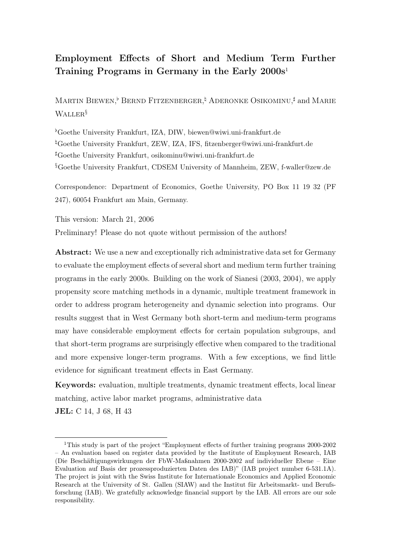# Employment Effects of Short and Medium Term Further Training Programs in Germany in the Early  $2000s<sup>1</sup>$

MARTIN BIEWEN,<sup>b</sup> BERND FITZENBERGER,<sup>†</sup> ADERONKE OSIKOMINU,<sup>‡</sup> and MARIE Waller§

 ${}^{\flat}$ Goethe University Frankfurt, IZA, DIW, biewen@wiwi.uni-frankfurt.de  $\overline{G}$ Goethe University Frankfurt, ZEW, IZA, IFS, fitzenberger@wiwi.uni-frankfurt.de ]Goethe University Frankfurt, osikominu@wiwi.uni-frankfurt.de §Goethe University Frankfurt, CDSEM University of Mannheim, ZEW, f-waller@zew.de

Correspondence: Department of Economics, Goethe University, PO Box 11 19 32 (PF 247), 60054 Frankfurt am Main, Germany.

This version: March 21, 2006

Preliminary! Please do not quote without permission of the authors!

Abstract: We use a new and exceptionally rich administrative data set for Germany to evaluate the employment effects of several short and medium term further training programs in the early 2000s. Building on the work of Sianesi (2003, 2004), we apply propensity score matching methods in a dynamic, multiple treatment framework in order to address program heterogeneity and dynamic selection into programs. Our results suggest that in West Germany both short-term and medium-term programs may have considerable employment effects for certain population subgroups, and that short-term programs are surprisingly effective when compared to the traditional and more expensive longer-term programs. With a few exceptions, we find little evidence for significant treatment effects in East Germany.

Keywords: evaluation, multiple treatments, dynamic treatment effects, local linear matching, active labor market programs, administrative data

JEL: C 14, J 68, H 43

<sup>1</sup>This study is part of the project "Employment effects of further training programs 2000-2002 – An evaluation based on register data provided by the Institute of Employment Research, IAB (Die Beschäftigungswirkungen der FbW-Maßnahmen 2000-2002 auf individueller Ebene – Eine Evaluation auf Basis der prozessproduzierten Daten des IAB)" (IAB project number 6-531.1A). The project is joint with the Swiss Institute for Internationale Economics and Applied Economic Research at the University of St. Gallen (SIAW) and the Institut für Arbeitsmarkt- und Berufsforschung (IAB). We gratefully acknowledge financial support by the IAB. All errors are our sole responsibility.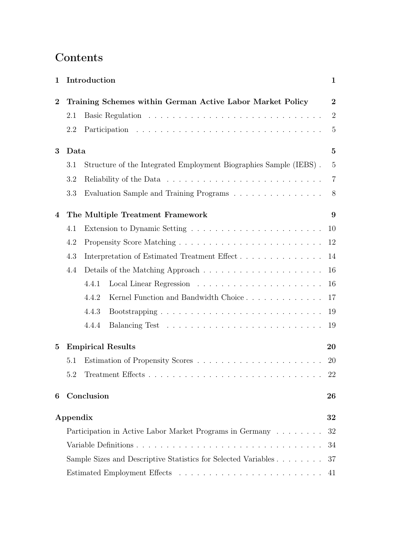# Contents

| 1              |          | Introduction                                                                 | $\mathbf{1}$   |  |  |  |  |  |  |  |  |
|----------------|----------|------------------------------------------------------------------------------|----------------|--|--|--|--|--|--|--|--|
| $\overline{2}$ |          | Training Schemes within German Active Labor Market Policy                    |                |  |  |  |  |  |  |  |  |
|                | 2.1      |                                                                              | $\overline{2}$ |  |  |  |  |  |  |  |  |
|                | 2.2      |                                                                              | $\overline{5}$ |  |  |  |  |  |  |  |  |
| 3              | Data     |                                                                              |                |  |  |  |  |  |  |  |  |
|                | 3.1      | Structure of the Integrated Employment Biographies Sample (IEBS).            | $\overline{5}$ |  |  |  |  |  |  |  |  |
|                | 3.2      |                                                                              | $\overline{7}$ |  |  |  |  |  |  |  |  |
|                | 3.3      | Evaluation Sample and Training Programs $\ldots \ldots \ldots \ldots \ldots$ | 8              |  |  |  |  |  |  |  |  |
| 4              |          | The Multiple Treatment Framework                                             | 9              |  |  |  |  |  |  |  |  |
|                | 4.1      |                                                                              | 10             |  |  |  |  |  |  |  |  |
|                | 4.2      |                                                                              | 12             |  |  |  |  |  |  |  |  |
|                | 4.3      | Interpretation of Estimated Treatment Effect<br>14                           |                |  |  |  |  |  |  |  |  |
|                | 4.4      |                                                                              | 16             |  |  |  |  |  |  |  |  |
|                |          | 4.4.1                                                                        | 16             |  |  |  |  |  |  |  |  |
|                |          | 4.4.2<br>Kernel Function and Bandwidth Choice                                | 17             |  |  |  |  |  |  |  |  |
|                |          | 4.4.3                                                                        | 19             |  |  |  |  |  |  |  |  |
|                |          | 4.4.4                                                                        | 19             |  |  |  |  |  |  |  |  |
| 5              |          | <b>Empirical Results</b>                                                     | 20             |  |  |  |  |  |  |  |  |
|                | 5.1      |                                                                              | 20             |  |  |  |  |  |  |  |  |
|                | 5.2      |                                                                              | 22             |  |  |  |  |  |  |  |  |
| 6              |          | Conclusion                                                                   | 26             |  |  |  |  |  |  |  |  |
|                | Appendix |                                                                              | 32             |  |  |  |  |  |  |  |  |
|                |          | Participation in Active Labor Market Programs in Germany                     | 32             |  |  |  |  |  |  |  |  |
|                |          |                                                                              | 34             |  |  |  |  |  |  |  |  |
|                |          | Sample Sizes and Descriptive Statistics for Selected Variables               | 37             |  |  |  |  |  |  |  |  |
|                |          |                                                                              | 41             |  |  |  |  |  |  |  |  |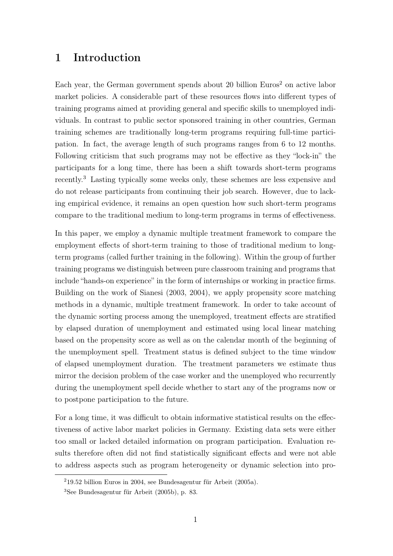# 1 Introduction

Each year, the German government spends about 20 billion  $Euros<sup>2</sup>$  on active labor market policies. A considerable part of these resources flows into different types of training programs aimed at providing general and specific skills to unemployed individuals. In contrast to public sector sponsored training in other countries, German training schemes are traditionally long-term programs requiring full-time participation. In fact, the average length of such programs ranges from 6 to 12 months. Following criticism that such programs may not be effective as they "lock-in" the participants for a long time, there has been a shift towards short-term programs recently.<sup>3</sup> Lasting typically some weeks only, these schemes are less expensive and do not release participants from continuing their job search. However, due to lacking empirical evidence, it remains an open question how such short-term programs compare to the traditional medium to long-term programs in terms of effectiveness.

In this paper, we employ a dynamic multiple treatment framework to compare the employment effects of short-term training to those of traditional medium to longterm programs (called further training in the following). Within the group of further training programs we distinguish between pure classroom training and programs that include "hands-on experience" in the form of internships or working in practice firms. Building on the work of Sianesi (2003, 2004), we apply propensity score matching methods in a dynamic, multiple treatment framework. In order to take account of the dynamic sorting process among the unemployed, treatment effects are stratified by elapsed duration of unemployment and estimated using local linear matching based on the propensity score as well as on the calendar month of the beginning of the unemployment spell. Treatment status is defined subject to the time window of elapsed unemployment duration. The treatment parameters we estimate thus mirror the decision problem of the case worker and the unemployed who recurrently during the unemployment spell decide whether to start any of the programs now or to postpone participation to the future.

For a long time, it was difficult to obtain informative statistical results on the effectiveness of active labor market policies in Germany. Existing data sets were either too small or lacked detailed information on program participation. Evaluation results therefore often did not find statistically significant effects and were not able to address aspects such as program heterogeneity or dynamic selection into pro-

<sup>2</sup>19.52 billion Euros in 2004, see Bundesagentur für Arbeit (2005a).

<sup>3</sup>See Bundesagentur für Arbeit (2005b), p. 83.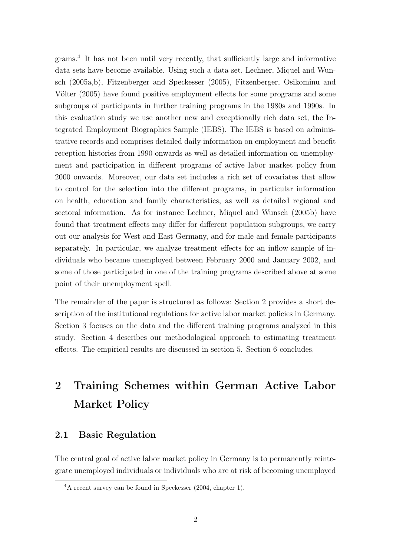grams.<sup>4</sup> It has not been until very recently, that sufficiently large and informative data sets have become available. Using such a data set, Lechner, Miquel and Wunsch (2005a,b), Fitzenberger and Speckesser (2005), Fitzenberger, Osikominu and Völter (2005) have found positive employment effects for some programs and some subgroups of participants in further training programs in the 1980s and 1990s. In this evaluation study we use another new and exceptionally rich data set, the Integrated Employment Biographies Sample (IEBS). The IEBS is based on administrative records and comprises detailed daily information on employment and benefit reception histories from 1990 onwards as well as detailed information on unemployment and participation in different programs of active labor market policy from 2000 onwards. Moreover, our data set includes a rich set of covariates that allow to control for the selection into the different programs, in particular information on health, education and family characteristics, as well as detailed regional and sectoral information. As for instance Lechner, Miquel and Wunsch (2005b) have found that treatment effects may differ for different population subgroups, we carry out our analysis for West and East Germany, and for male and female participants separately. In particular, we analyze treatment effects for an inflow sample of individuals who became unemployed between February 2000 and January 2002, and some of those participated in one of the training programs described above at some point of their unemployment spell.

The remainder of the paper is structured as follows: Section 2 provides a short description of the institutional regulations for active labor market policies in Germany. Section 3 focuses on the data and the different training programs analyzed in this study. Section 4 describes our methodological approach to estimating treatment effects. The empirical results are discussed in section 5. Section 6 concludes.

# 2 Training Schemes within German Active Labor Market Policy

### 2.1 Basic Regulation

The central goal of active labor market policy in Germany is to permanently reintegrate unemployed individuals or individuals who are at risk of becoming unemployed

<sup>4</sup>A recent survey can be found in Speckesser (2004, chapter 1).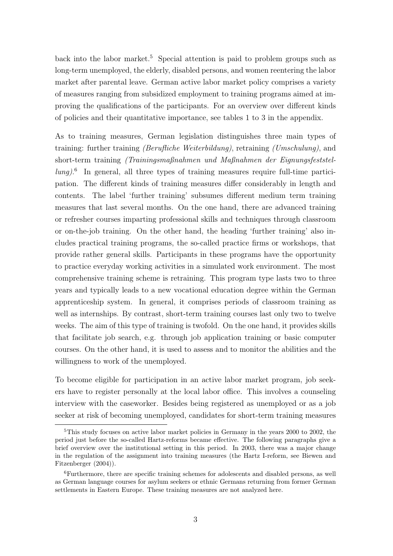back into the labor market.<sup>5</sup> Special attention is paid to problem groups such as long-term unemployed, the elderly, disabled persons, and women reentering the labor market after parental leave. German active labor market policy comprises a variety of measures ranging from subsidized employment to training programs aimed at improving the qualifications of the participants. For an overview over different kinds of policies and their quantitative importance, see tables 1 to 3 in the appendix.

As to training measures, German legislation distinguishes three main types of training: further training (Berufliche Weiterbildung), retraining (Umschulung), and short-term training (Trainingsmaßnahmen und Maßnahmen der Eignungsfeststellung).<sup>6</sup> In general, all three types of training measures require full-time participation. The different kinds of training measures differ considerably in length and contents. The label 'further training' subsumes different medium term training measures that last several months. On the one hand, there are advanced training or refresher courses imparting professional skills and techniques through classroom or on-the-job training. On the other hand, the heading 'further training' also includes practical training programs, the so-called practice firms or workshops, that provide rather general skills. Participants in these programs have the opportunity to practice everyday working activities in a simulated work environment. The most comprehensive training scheme is retraining. This program type lasts two to three years and typically leads to a new vocational education degree within the German apprenticeship system. In general, it comprises periods of classroom training as well as internships. By contrast, short-term training courses last only two to twelve weeks. The aim of this type of training is twofold. On the one hand, it provides skills that facilitate job search, e.g. through job application training or basic computer courses. On the other hand, it is used to assess and to monitor the abilities and the willingness to work of the unemployed.

To become eligible for participation in an active labor market program, job seekers have to register personally at the local labor office. This involves a counseling interview with the caseworker. Besides being registered as unemployed or as a job seeker at risk of becoming unemployed, candidates for short-term training measures

<sup>&</sup>lt;sup>5</sup>This study focuses on active labor market policies in Germany in the years 2000 to 2002, the period just before the so-called Hartz-reforms became effective. The following paragraphs give a brief overview over the institutional setting in this period. In 2003, there was a major change in the regulation of the assignment into training measures (the Hartz I-reform, see Biewen and Fitzenberger (2004)).

<sup>6</sup>Furthermore, there are specific training schemes for adolescents and disabled persons, as well as German language courses for asylum seekers or ethnic Germans returning from former German settlements in Eastern Europe. These training measures are not analyzed here.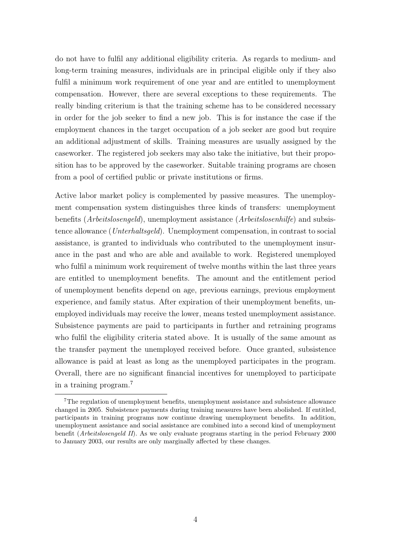do not have to fulfil any additional eligibility criteria. As regards to medium- and long-term training measures, individuals are in principal eligible only if they also fulfil a minimum work requirement of one year and are entitled to unemployment compensation. However, there are several exceptions to these requirements. The really binding criterium is that the training scheme has to be considered necessary in order for the job seeker to find a new job. This is for instance the case if the employment chances in the target occupation of a job seeker are good but require an additional adjustment of skills. Training measures are usually assigned by the caseworker. The registered job seekers may also take the initiative, but their proposition has to be approved by the caseworker. Suitable training programs are chosen from a pool of certified public or private institutions or firms.

Active labor market policy is complemented by passive measures. The unemployment compensation system distinguishes three kinds of transfers: unemployment benefits (Arbeitslosengeld), unemployment assistance (Arbeitslosenhilfe) and subsistence allowance (Unterhaltsgeld). Unemployment compensation, in contrast to social assistance, is granted to individuals who contributed to the unemployment insurance in the past and who are able and available to work. Registered unemployed who fulfil a minimum work requirement of twelve months within the last three years are entitled to unemployment benefits. The amount and the entitlement period of unemployment benefits depend on age, previous earnings, previous employment experience, and family status. After expiration of their unemployment benefits, unemployed individuals may receive the lower, means tested unemployment assistance. Subsistence payments are paid to participants in further and retraining programs who fulfil the eligibility criteria stated above. It is usually of the same amount as the transfer payment the unemployed received before. Once granted, subsistence allowance is paid at least as long as the unemployed participates in the program. Overall, there are no significant financial incentives for unemployed to participate in a training program.<sup>7</sup>

<sup>7</sup>The regulation of unemployment benefits, unemployment assistance and subsistence allowance changed in 2005. Subsistence payments during training measures have been abolished. If entitled, participants in training programs now continue drawing unemployment benefits. In addition, unemployment assistance and social assistance are combined into a second kind of unemployment benefit (Arbeitslosengeld II). As we only evaluate programs starting in the period February 2000 to January 2003, our results are only marginally affected by these changes.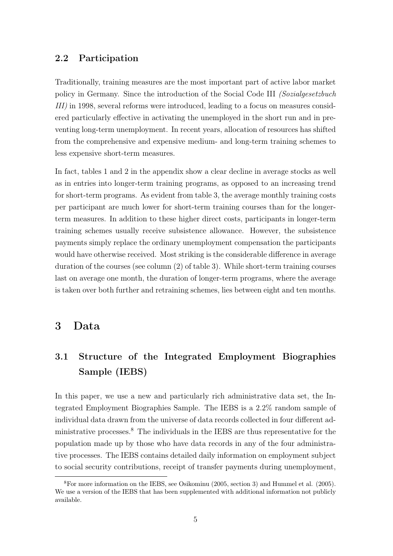### 2.2 Participation

Traditionally, training measures are the most important part of active labor market policy in Germany. Since the introduction of the Social Code III (Sozialgesetzbuch III) in 1998, several reforms were introduced, leading to a focus on measures considered particularly effective in activating the unemployed in the short run and in preventing long-term unemployment. In recent years, allocation of resources has shifted from the comprehensive and expensive medium- and long-term training schemes to less expensive short-term measures.

In fact, tables 1 and 2 in the appendix show a clear decline in average stocks as well as in entries into longer-term training programs, as opposed to an increasing trend for short-term programs. As evident from table 3, the average monthly training costs per participant are much lower for short-term training courses than for the longerterm measures. In addition to these higher direct costs, participants in longer-term training schemes usually receive subsistence allowance. However, the subsistence payments simply replace the ordinary unemployment compensation the participants would have otherwise received. Most striking is the considerable difference in average duration of the courses (see column (2) of table 3). While short-term training courses last on average one month, the duration of longer-term programs, where the average is taken over both further and retraining schemes, lies between eight and ten months.

### 3 Data

# 3.1 Structure of the Integrated Employment Biographies Sample (IEBS)

In this paper, we use a new and particularly rich administrative data set, the Integrated Employment Biographies Sample. The IEBS is a 2.2% random sample of individual data drawn from the universe of data records collected in four different administrative processes.<sup>8</sup> The individuals in the IEBS are thus representative for the population made up by those who have data records in any of the four administrative processes. The IEBS contains detailed daily information on employment subject to social security contributions, receipt of transfer payments during unemployment,

<sup>8</sup>For more information on the IEBS, see Osikominu (2005, section 3) and Hummel et al. (2005). We use a version of the IEBS that has been supplemented with additional information not publicly available.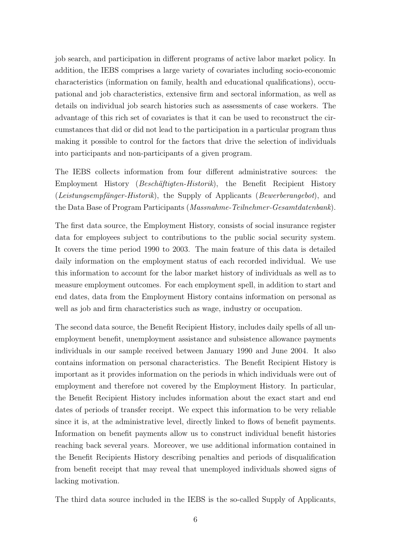job search, and participation in different programs of active labor market policy. In addition, the IEBS comprises a large variety of covariates including socio-economic characteristics (information on family, health and educational qualifications), occupational and job characteristics, extensive firm and sectoral information, as well as details on individual job search histories such as assessments of case workers. The advantage of this rich set of covariates is that it can be used to reconstruct the circumstances that did or did not lead to the participation in a particular program thus making it possible to control for the factors that drive the selection of individuals into participants and non-participants of a given program.

The IEBS collects information from four different administrative sources: the Employment History (Beschäftigten-Historik), the Benefit Recipient History (Leistungsempfänger-Historik), the Supply of Applicants (Bewerberangebot), and the Data Base of Program Participants (Massnahme-Teilnehmer-Gesamtdatenbank).

The first data source, the Employment History, consists of social insurance register data for employees subject to contributions to the public social security system. It covers the time period 1990 to 2003. The main feature of this data is detailed daily information on the employment status of each recorded individual. We use this information to account for the labor market history of individuals as well as to measure employment outcomes. For each employment spell, in addition to start and end dates, data from the Employment History contains information on personal as well as job and firm characteristics such as wage, industry or occupation.

The second data source, the Benefit Recipient History, includes daily spells of all unemployment benefit, unemployment assistance and subsistence allowance payments individuals in our sample received between January 1990 and June 2004. It also contains information on personal characteristics. The Benefit Recipient History is important as it provides information on the periods in which individuals were out of employment and therefore not covered by the Employment History. In particular, the Benefit Recipient History includes information about the exact start and end dates of periods of transfer receipt. We expect this information to be very reliable since it is, at the administrative level, directly linked to flows of benefit payments. Information on benefit payments allow us to construct individual benefit histories reaching back several years. Moreover, we use additional information contained in the Benefit Recipients History describing penalties and periods of disqualification from benefit receipt that may reveal that unemployed individuals showed signs of lacking motivation.

The third data source included in the IEBS is the so-called Supply of Applicants,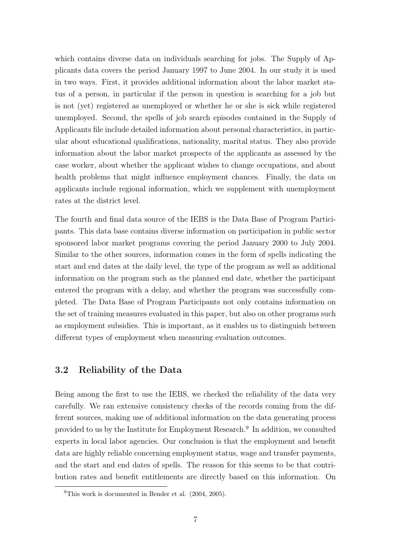which contains diverse data on individuals searching for jobs. The Supply of Applicants data covers the period January 1997 to June 2004. In our study it is used in two ways. First, it provides additional information about the labor market status of a person, in particular if the person in question is searching for a job but is not (yet) registered as unemployed or whether he or she is sick while registered unemployed. Second, the spells of job search episodes contained in the Supply of Applicants file include detailed information about personal characteristics, in particular about educational qualifications, nationality, marital status. They also provide information about the labor market prospects of the applicants as assessed by the case worker, about whether the applicant wishes to change occupations, and about health problems that might influence employment chances. Finally, the data on applicants include regional information, which we supplement with unemployment rates at the district level.

The fourth and final data source of the IEBS is the Data Base of Program Participants. This data base contains diverse information on participation in public sector sponsored labor market programs covering the period January 2000 to July 2004. Similar to the other sources, information comes in the form of spells indicating the start and end dates at the daily level, the type of the program as well as additional information on the program such as the planned end date, whether the participant entered the program with a delay, and whether the program was successfully completed. The Data Base of Program Participants not only contains information on the set of training measures evaluated in this paper, but also on other programs such as employment subsidies. This is important, as it enables us to distinguish between different types of employment when measuring evaluation outcomes.

### 3.2 Reliability of the Data

Being among the first to use the IEBS, we checked the reliability of the data very carefully. We ran extensive consistency checks of the records coming from the different sources, making use of additional information on the data generating process provided to us by the Institute for Employment Research.<sup>9</sup> In addition, we consulted experts in local labor agencies. Our conclusion is that the employment and benefit data are highly reliable concerning employment status, wage and transfer payments, and the start and end dates of spells. The reason for this seems to be that contribution rates and benefit entitlements are directly based on this information. On

<sup>&</sup>lt;sup>9</sup>This work is documented in Bender et al.  $(2004, 2005)$ .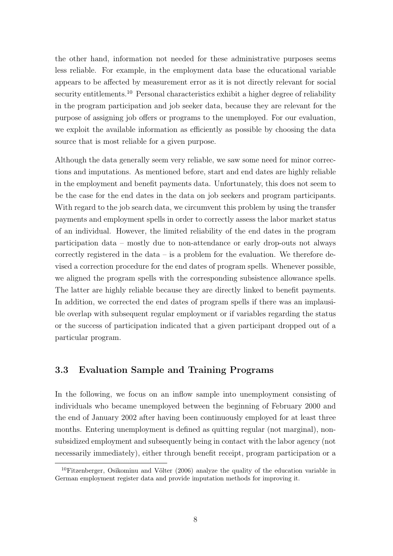the other hand, information not needed for these administrative purposes seems less reliable. For example, in the employment data base the educational variable appears to be affected by measurement error as it is not directly relevant for social security entitlements.<sup>10</sup> Personal characteristics exhibit a higher degree of reliability in the program participation and job seeker data, because they are relevant for the purpose of assigning job offers or programs to the unemployed. For our evaluation, we exploit the available information as efficiently as possible by choosing the data source that is most reliable for a given purpose.

Although the data generally seem very reliable, we saw some need for minor corrections and imputations. As mentioned before, start and end dates are highly reliable in the employment and benefit payments data. Unfortunately, this does not seem to be the case for the end dates in the data on job seekers and program participants. With regard to the job search data, we circumvent this problem by using the transfer payments and employment spells in order to correctly assess the labor market status of an individual. However, the limited reliability of the end dates in the program participation data – mostly due to non-attendance or early drop-outs not always correctly registered in the data – is a problem for the evaluation. We therefore devised a correction procedure for the end dates of program spells. Whenever possible, we aligned the program spells with the corresponding subsistence allowance spells. The latter are highly reliable because they are directly linked to benefit payments. In addition, we corrected the end dates of program spells if there was an implausible overlap with subsequent regular employment or if variables regarding the status or the success of participation indicated that a given participant dropped out of a particular program.

### 3.3 Evaluation Sample and Training Programs

In the following, we focus on an inflow sample into unemployment consisting of individuals who became unemployed between the beginning of February 2000 and the end of January 2002 after having been continuously employed for at least three months. Entering unemployment is defined as quitting regular (not marginal), nonsubsidized employment and subsequently being in contact with the labor agency (not necessarily immediately), either through benefit receipt, program participation or a

 $10$ Fitzenberger, Osikominu and Völter (2006) analyze the quality of the education variable in German employment register data and provide imputation methods for improving it.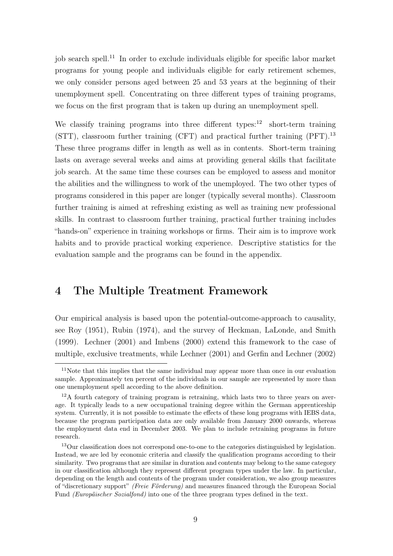job search spell.<sup>11</sup> In order to exclude individuals eligible for specific labor market programs for young people and individuals eligible for early retirement schemes, we only consider persons aged between 25 and 53 years at the beginning of their unemployment spell. Concentrating on three different types of training programs, we focus on the first program that is taken up during an unemployment spell.

We classify training programs into three different types:<sup>12</sup> short-term training  $(STT)$ , classroom further training  $(CFT)$  and practical further training  $(PFT)$ <sup>13</sup> These three programs differ in length as well as in contents. Short-term training lasts on average several weeks and aims at providing general skills that facilitate job search. At the same time these courses can be employed to assess and monitor the abilities and the willingness to work of the unemployed. The two other types of programs considered in this paper are longer (typically several months). Classroom further training is aimed at refreshing existing as well as training new professional skills. In contrast to classroom further training, practical further training includes "hands-on" experience in training workshops or firms. Their aim is to improve work habits and to provide practical working experience. Descriptive statistics for the evaluation sample and the programs can be found in the appendix.

## 4 The Multiple Treatment Framework

Our empirical analysis is based upon the potential-outcome-approach to causality, see Roy (1951), Rubin (1974), and the survey of Heckman, LaLonde, and Smith (1999). Lechner (2001) and Imbens (2000) extend this framework to the case of multiple, exclusive treatments, while Lechner (2001) and Gerfin and Lechner (2002)

<sup>&</sup>lt;sup>11</sup>Note that this implies that the same individual may appear more than once in our evaluation sample. Approximately ten percent of the individuals in our sample are represented by more than one unemployment spell according to the above definition.

 $12A$  fourth category of training program is retraining, which lasts two to three years on average. It typically leads to a new occupational training degree within the German apprenticeship system. Currently, it is not possible to estimate the effects of these long programs with IEBS data, because the program participation data are only available from January 2000 onwards, whereas the employment data end in December 2003. We plan to include retraining programs in future research.

<sup>&</sup>lt;sup>13</sup>Our classification does not correspond one-to-one to the categories distinguished by legislation. Instead, we are led by economic criteria and classify the qualification programs according to their similarity. Two programs that are similar in duration and contents may belong to the same category in our classification although they represent different program types under the law. In particular, depending on the length and contents of the program under consideration, we also group measures of "discretionary support" (Freie Förderung) and measures financed through the European Social Fund *(Europäischer Sozialfond)* into one of the three program types defined in the text.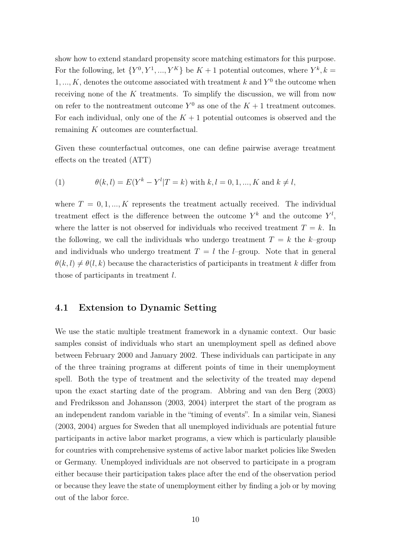show how to extend standard propensity score matching estimators for this purpose. For the following, let  $\{Y^0, Y^1, ..., Y^K\}$  be  $K+1$  potential outcomes, where  $Y^k, k =$  $1, ..., K$ , denotes the outcome associated with treatment k and  $Y^0$  the outcome when receiving none of the  $K$  treatments. To simplify the discussion, we will from now on refer to the nontreatment outcome  $Y^0$  as one of the  $K + 1$  treatment outcomes. For each individual, only one of the  $K + 1$  potential outcomes is observed and the remaining K outcomes are counterfactual.

Given these counterfactual outcomes, one can define pairwise average treatment effects on the treated (ATT)

(1) 
$$
\theta(k,l) = E(Y^k - Y^l | T = k) \text{ with } k, l = 0, 1, ..., K \text{ and } k \neq l,
$$

where  $T = 0, 1, ..., K$  represents the treatment actually received. The individual treatment effect is the difference between the outcome  $Y^k$  and the outcome  $Y^l$ , where the latter is not observed for individuals who received treatment  $T = k$ . In the following, we call the individuals who undergo treatment  $T = k$  the k–group and individuals who undergo treatment  $T = l$  the *l*–group. Note that in general  $\theta(k, l) \neq \theta(l, k)$  because the characteristics of participants in treatment k differ from those of participants in treatment l.

### 4.1 Extension to Dynamic Setting

We use the static multiple treatment framework in a dynamic context. Our basic samples consist of individuals who start an unemployment spell as defined above between February 2000 and January 2002. These individuals can participate in any of the three training programs at different points of time in their unemployment spell. Both the type of treatment and the selectivity of the treated may depend upon the exact starting date of the program. Abbring and van den Berg (2003) and Fredriksson and Johansson (2003, 2004) interpret the start of the program as an independent random variable in the "timing of events". In a similar vein, Sianesi (2003, 2004) argues for Sweden that all unemployed individuals are potential future participants in active labor market programs, a view which is particularly plausible for countries with comprehensive systems of active labor market policies like Sweden or Germany. Unemployed individuals are not observed to participate in a program either because their participation takes place after the end of the observation period or because they leave the state of unemployment either by finding a job or by moving out of the labor force.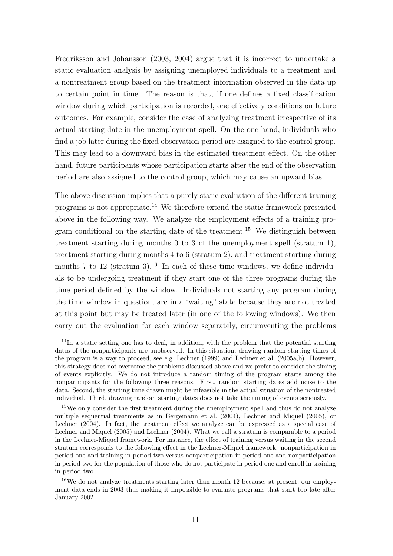Fredriksson and Johansson (2003, 2004) argue that it is incorrect to undertake a static evaluation analysis by assigning unemployed individuals to a treatment and a nontreatment group based on the treatment information observed in the data up to certain point in time. The reason is that, if one defines a fixed classification window during which participation is recorded, one effectively conditions on future outcomes. For example, consider the case of analyzing treatment irrespective of its actual starting date in the unemployment spell. On the one hand, individuals who find a job later during the fixed observation period are assigned to the control group. This may lead to a downward bias in the estimated treatment effect. On the other hand, future participants whose participation starts after the end of the observation period are also assigned to the control group, which may cause an upward bias.

The above discussion implies that a purely static evaluation of the different training programs is not appropriate.<sup>14</sup> We therefore extend the static framework presented above in the following way. We analyze the employment effects of a training program conditional on the starting date of the treatment.<sup>15</sup> We distinguish between treatment starting during months 0 to 3 of the unemployment spell (stratum 1), treatment starting during months 4 to 6 (stratum 2), and treatment starting during months 7 to 12 (stratum 3).<sup>16</sup> In each of these time windows, we define individuals to be undergoing treatment if they start one of the three programs during the time period defined by the window. Individuals not starting any program during the time window in question, are in a "waiting" state because they are not treated at this point but may be treated later (in one of the following windows). We then carry out the evaluation for each window separately, circumventing the problems

<sup>&</sup>lt;sup>14</sup>In a static setting one has to deal, in addition, with the problem that the potential starting dates of the nonparticipants are unobserved. In this situation, drawing random starting times of the program is a way to proceed, see e.g. Lechner (1999) and Lechner et al. (2005a,b). However, this strategy does not overcome the problems discussed above and we prefer to consider the timing of events explicitly. We do not introduce a random timing of the program starts among the nonparticipants for the following three reasons. First, random starting dates add noise to the data. Second, the starting time drawn might be infeasible in the actual situation of the nontreated individual. Third, drawing random starting dates does not take the timing of events seriously.

<sup>&</sup>lt;sup>15</sup>We only consider the first treatment during the unemployment spell and thus do not analyze multiple sequential treatments as in Bergemann et al. (2004), Lechner and Miquel (2005), or Lechner (2004). In fact, the treatment effect we analyze can be expressed as a special case of Lechner and Miquel (2005) and Lechner (2004). What we call a stratum is comparable to a period in the Lechner-Miquel framework. For instance, the effect of training versus waiting in the second stratum corresponds to the following effect in the Lechner-Miquel framework: nonparticipation in period one and training in period two versus nonparticipation in period one and nonparticipation in period two for the population of those who do not participate in period one and enroll in training in period two.

<sup>16</sup>We do not analyze treatments starting later than month 12 because, at present, our employment data ends in 2003 thus making it impossible to evaluate programs that start too late after January 2002.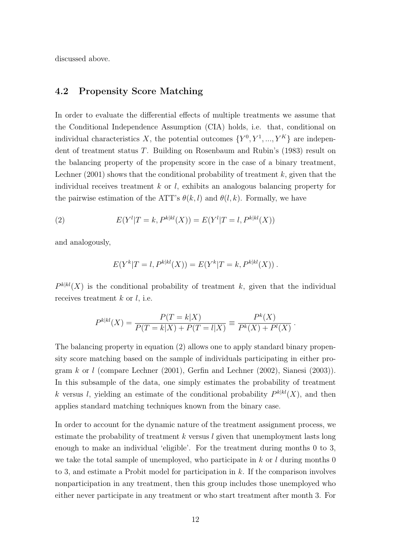discussed above.

### 4.2 Propensity Score Matching

In order to evaluate the differential effects of multiple treatments we assume that the Conditional Independence Assumption (CIA) holds, i.e. that, conditional on individual characteristics X, the potential outcomes  $\{Y^0, Y^1, ..., Y^K\}$  are independent of treatment status T. Building on Rosenbaum and Rubin's (1983) result on the balancing property of the propensity score in the case of a binary treatment, Lechner (2001) shows that the conditional probability of treatment  $k$ , given that the individual receives treatment  $k$  or  $l$ , exhibits an analogous balancing property for the pairwise estimation of the ATT's  $\theta(k, l)$  and  $\theta(l, k)$ . Formally, we have

(2) 
$$
E(Y^l | T = k, P^{k|kl}(X)) = E(Y^l | T = l, P^{k|kl}(X))
$$

and analogously,

$$
E(Y^{k}|T = l, P^{k|kl}(X)) = E(Y^{k}|T = k, P^{k|kl}(X)).
$$

 $P^{k|kl}(X)$  is the conditional probability of treatment k, given that the individual receives treatment  $k$  or  $l$ , i.e.

$$
P^{k|kl}(X) = \frac{P(T = k|X)}{P(T = k|X) + P(T = l|X)} \equiv \frac{P^k(X)}{P^k(X) + P^l(X)}.
$$

The balancing property in equation (2) allows one to apply standard binary propensity score matching based on the sample of individuals participating in either program  $k$  or  $l$  (compare Lechner (2001), Gerfin and Lechner (2002), Sianesi (2003)). In this subsample of the data, one simply estimates the probability of treatment k versus l, yielding an estimate of the conditional probability  $P^{k|kl}(X)$ , and then applies standard matching techniques known from the binary case.

In order to account for the dynamic nature of the treatment assignment process, we estimate the probability of treatment  $k$  versus  $l$  given that unemployment lasts long enough to make an individual 'eligible'. For the treatment during months 0 to 3, we take the total sample of unemployed, who participate in  $k$  or l during months 0 to 3, and estimate a Probit model for participation in  $k$ . If the comparison involves nonparticipation in any treatment, then this group includes those unemployed who either never participate in any treatment or who start treatment after month 3. For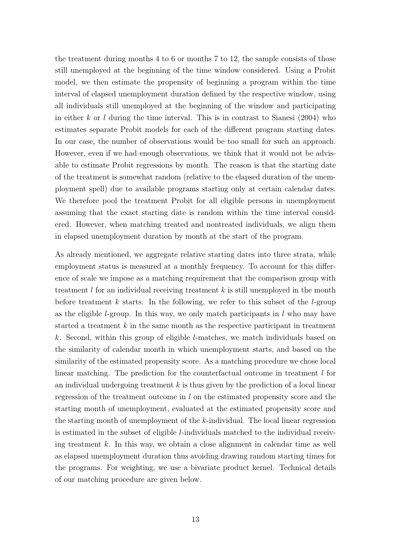the treatment during months 4 to 6 or months 7 to 12, the sample consists of those still unemployed at the beginning of the time window considered. Using a Probit model, we then estimate the propensity of beginning a program within the time interval of elapsed unemployment duration defined by the respective window, using all individuals still unemployed at the beginning of the window and participating in either  $k$  or  $l$  during the time interval. This is in contrast to Sianesi (2004) who estimates separate Probit models for each of the different program starting dates. In our case, the number of observations would be too small for such an approach. However, even if we had enough observations, we think that it would not be advisable to estimate Probit regressions by month. The reason is that the starting date of the treatment is somewhat random (relative to the elapsed duration of the unemployment spell) due to available programs starting only at certain calendar dates. We therefore pool the treatment Probit for all eligible persons in unemployment assuming that the exact starting date is random within the time interval considered. However, when matching treated and nontreated individuals, we align them in elapsed unemployment duration by month at the start of the program.

As already mentioned, we aggregate relative starting dates into three strata, while employment status is measured at a monthly frequency. To account for this difference of scale we impose as a matching requirement that the comparison group with treatment  $l$  for an individual receiving treatment  $k$  is still unemployed in the month before treatment k starts. In the following, we refer to this subset of the l-group as the eligible *l*-group. In this way, we only match participants in  $l$  who may have started a treatment  $k$  in the same month as the respective participant in treatment k. Second, within this group of eligible l-matches, we match individuals based on the similarity of calendar month in which unemployment starts, and based on the similarity of the estimated propensity score. As a matching procedure we chose local linear matching. The prediction for the counterfactual outcome in treatment  $l$  for an individual undergoing treatment  $k$  is thus given by the prediction of a local linear regression of the treatment outcome in l on the estimated propensity score and the starting month of unemployment, evaluated at the estimated propensity score and the starting month of unemployment of the k-individual. The local linear regression is estimated in the subset of eligible l-individuals matched to the individual receiving treatment  $k$ . In this way, we obtain a close alignment in calendar time as well as elapsed unemployment duration thus avoiding drawing random starting times for the programs. For weighting, we use a bivariate product kernel. Technical details of our matching procedure are given below.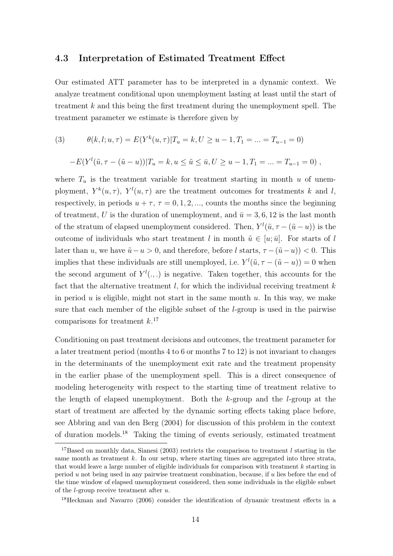### 4.3 Interpretation of Estimated Treatment Effect

Our estimated ATT parameter has to be interpreted in a dynamic context. We analyze treatment conditional upon unemployment lasting at least until the start of treatment k and this being the first treatment during the unemployment spell. The treatment parameter we estimate is therefore given by

(3) 
$$
\theta(k, l; u, \tau) = E(Y^{k}(u, \tau))T_u = k, U \ge u - 1, T_1 = ... = T_{u-1} = 0)
$$

$$
-E(Yl(\tilde{u}, \tau - (\tilde{u} - u))|T_u = k, u \le \tilde{u} \le \bar{u}, U \ge u - 1, T_1 = ... = T_{u-1} = 0),
$$

where  $T_u$  is the treatment variable for treatment starting in month u of unemployment,  $Y^k(u, \tau)$ ,  $Y^l(u, \tau)$  are the treatment outcomes for treatments k and l, respectively, in periods  $u + \tau$ ,  $\tau = 0, 1, 2, \dots$ , counts the months since the beginning of treatment, U is the duration of unemployment, and  $\bar{u} = 3, 6, 12$  is the last month of the stratum of elapsed unemployment considered. Then,  $Y^{l}(\tilde{u}, \tau - (\tilde{u} - u))$  is the outcome of individuals who start treatment l in month  $\tilde{u} \in [u, \bar{u}]$ . For starts of l later than u, we have  $\tilde{u} - u > 0$ , and therefore, before l starts,  $\tau - (\tilde{u} - u) < 0$ . This implies that these individuals are still unemployed, i.e.  $Y^{l}(\tilde{u}, \tau - (\tilde{u} - u)) = 0$  when the second argument of  $Y^l(.,.)$  is negative. Taken together, this accounts for the fact that the alternative treatment  $l$ , for which the individual receiving treatment  $k$ in period  $u$  is eligible, might not start in the same month  $u$ . In this way, we make sure that each member of the eligible subset of the l-group is used in the pairwise comparisons for treatment  $k$ <sup>17</sup>

Conditioning on past treatment decisions and outcomes, the treatment parameter for a later treatment period (months 4 to 6 or months 7 to 12) is not invariant to changes in the determinants of the unemployment exit rate and the treatment propensity in the earlier phase of the unemployment spell. This is a direct consequence of modeling heterogeneity with respect to the starting time of treatment relative to the length of elapsed unemployment. Both the  $k$ -group and the  $l$ -group at the start of treatment are affected by the dynamic sorting effects taking place before, see Abbring and van den Berg (2004) for discussion of this problem in the context of duration models.<sup>18</sup> Taking the timing of events seriously, estimated treatment

<sup>&</sup>lt;sup>17</sup>Based on monthly data, Sianesi (2003) restricts the comparison to treatment  $l$  starting in the same month as treatment  $k$ . In our setup, where starting times are aggregated into three strata, that would leave a large number of eligible individuals for comparison with treatment  $k$  starting in period u not being used in any pairwise treatment combination, because, if u lies before the end of the time window of elapsed unemployment considered, then some individuals in the eligible subset of the l-group receive treatment after u.

<sup>18</sup>Heckman and Navarro (2006) consider the identification of dynamic treatment effects in a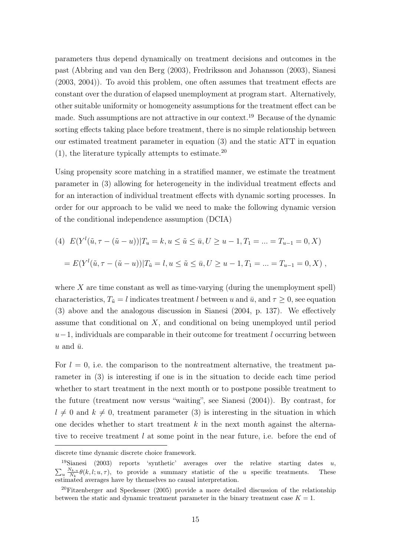parameters thus depend dynamically on treatment decisions and outcomes in the past (Abbring and van den Berg (2003), Fredriksson and Johansson (2003), Sianesi (2003, 2004)). To avoid this problem, one often assumes that treatment effects are constant over the duration of elapsed unemployment at program start. Alternatively, other suitable uniformity or homogeneity assumptions for the treatment effect can be made. Such assumptions are not attractive in our context.<sup>19</sup> Because of the dynamic sorting effects taking place before treatment, there is no simple relationship between our estimated treatment parameter in equation (3) and the static ATT in equation  $(1)$ , the literature typically attempts to estimate.<sup>20</sup>

Using propensity score matching in a stratified manner, we estimate the treatment parameter in (3) allowing for heterogeneity in the individual treatment effects and for an interaction of individual treatment effects with dynamic sorting processes. In order for our approach to be valid we need to make the following dynamic version of the conditional independence assumption (DCIA)

(4) 
$$
E(Y^l(\tilde{u}, \tau - (\tilde{u} - u)) | T_u = k, u \le \tilde{u} \le \bar{u}, U \ge u - 1, T_1 = ... = T_{u-1} = 0, X)
$$
  
=  $E(Y^l(\tilde{u}, \tau - (\tilde{u} - u)) | T_{\tilde{u}} = l, u \le \tilde{u} \le \bar{u}, U \ge u - 1, T_1 = ... = T_{u-1} = 0, X)$ ,

where  $X$  are time constant as well as time-varying (during the unemployment spell) characteristics,  $T_{\tilde{u}} = l$  indicates treatment l between u and  $\bar{u}$ , and  $\tau \geq 0$ , see equation (3) above and the analogous discussion in Sianesi (2004, p. 137). We effectively assume that conditional on X, and conditional on being unemployed until period  $u-1$ , individuals are comparable in their outcome for treatment l occurring between u and  $\bar{u}$ .

For  $l = 0$ , i.e. the comparison to the nontreatment alternative, the treatment parameter in (3) is interesting if one is in the situation to decide each time period whether to start treatment in the next month or to postpone possible treatment to the future (treatment now versus "waiting", see Sianesi (2004)). By contrast, for  $l \neq 0$  and  $k \neq 0$ , treatment parameter (3) is interesting in the situation in which one decides whether to start treatment  $k$  in the next month against the alternative to receive treatment l at some point in the near future, i.e. before the end of

discrete time dynamic discrete choice framework.

<sup>&</sup>lt;sup>19</sup>Sianesi (2003) reports 'synthetic' averages over the relative starting dates u,  $N_{\text{av}} \frac{N_{k,u}}{N} \theta(k, l; u, \tau)$ , to provide a summary statistic of the u specific treatments. These  $u \frac{N_{k,u}}{N_k}$  $\frac{N_{k,u}}{N_k} \theta(k, l; u, \tau)$ , to provide a summary statistic of the u specific treatments. These estimated averages have by themselves no causal interpretation.

<sup>20</sup>Fitzenberger and Speckesser (2005) provide a more detailed discussion of the relationship between the static and dynamic treatment parameter in the binary treatment case  $K = 1$ .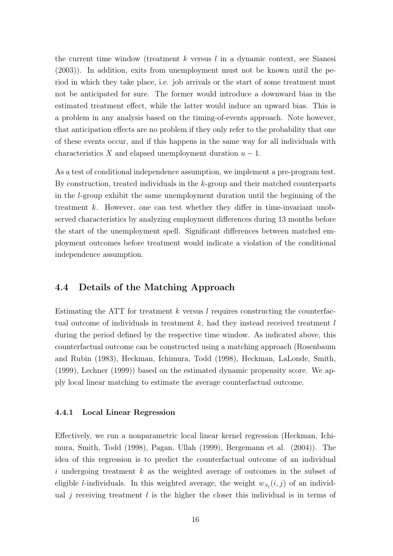the current time window (treatment k versus  $l$  in a dynamic context, see Sianesi (2003)). In addition, exits from unemployment must not be known until the period in which they take place, i.e. job arrivals or the start of some treatment must not be anticipated for sure. The former would introduce a downward bias in the estimated treatment effect, while the latter would induce an upward bias. This is a problem in any analysis based on the timing-of-events approach. Note however, that anticipation effects are no problem if they only refer to the probability that one of these events occur, and if this happens in the same way for all individuals with characteristics X and elapsed unemployment duration  $u - 1$ .

As a test of conditional independence assumption, we implement a pre-program test. By construction, treated individuals in the k-group and their matched counterparts in the l-group exhibit the same unemployment duration until the beginning of the treatment k. However, one can test whether they differ in time-invariant unobserved characteristics by analyzing employment differences during 13 months before the start of the unemployment spell. Significant differences between matched employment outcomes before treatment would indicate a violation of the conditional independence assumption.

### 4.4 Details of the Matching Approach

Estimating the ATT for treatment  $k$  versus l requires constructing the counterfactual outcome of individuals in treatment  $k$ , had they instead received treatment  $l$ during the period defined by the respective time window. As indicated above, this counterfactual outcome can be constructed using a matching approach (Rosenbaum and Rubin (1983), Heckman, Ichimura, Todd (1998), Heckman, LaLonde, Smith, (1999), Lechner (1999)) based on the estimated dynamic propensity score. We apply local linear matching to estimate the average counterfactual outcome.

#### 4.4.1 Local Linear Regression

Effectively, we run a nonparametric local linear kernel regression (Heckman, Ichimura, Smith, Todd (1998), Pagan, Ullah (1999), Bergemann et al. (2004)). The idea of this regression is to predict the counterfactual outcome of an individual i undergoing treatment  $k$  as the weighted average of outcomes in the subset of eligible *l*-individuals. In this weighted average, the weight  $w_{N_l}(i, j)$  of an individual j receiving treatment  $l$  is the higher the closer this individual is in terms of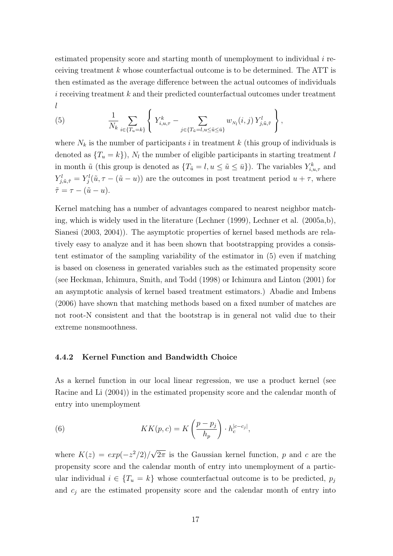estimated propensity score and starting month of unemployment to individual  $i$  receiving treatment  $k$  whose counterfactual outcome is to be determined. The ATT is then estimated as the average difference between the actual outcomes of individuals  $i$  receiving treatment  $k$  and their predicted counterfactual outcomes under treatment l  $\overline{a}$  $\ddot{\phantom{a}}$ 

(5) 
$$
\frac{1}{N_k} \sum_{i \in \{T_u = k\}} \left\{ Y_{i,u,\tau}^k - \sum_{j \in \{T_{\tilde{u}} = l, u \leq \tilde{u} \leq \bar{u}\}} w_{N_l}(i,j) Y_{j,\tilde{u},\tilde{\tau}}^l \right\},
$$

where  $N_k$  is the number of participants i in treatment k (this group of individuals is denoted as  $\{T_u = k\}$ ,  $N_l$  the number of eligible participants in starting treatment l in month  $\tilde{u}$  (this group is denoted as  $\{T_{\tilde{u}} = l, u \le \tilde{u} \le \bar{u}\}\)$ ). The variables  $Y_{i,u,\tau}^k$  and  $Y_{j,\tilde{u},\tilde{\tau}}^l = Y_j^l(\tilde{u}, \tau - (\tilde{u} - u))$  are the outcomes in post treatment period  $u + \tau$ , where  $\tilde{\tau} = \tau - (\tilde{u} - u).$ 

Kernel matching has a number of advantages compared to nearest neighbor matching, which is widely used in the literature (Lechner (1999), Lechner et al. (2005a,b), Sianesi (2003, 2004)). The asymptotic properties of kernel based methods are relatively easy to analyze and it has been shown that bootstrapping provides a consistent estimator of the sampling variability of the estimator in (5) even if matching is based on closeness in generated variables such as the estimated propensity score (see Heckman, Ichimura, Smith, and Todd (1998) or Ichimura and Linton (2001) for an asymptotic analysis of kernel based treatment estimators.) Abadie and Imbens (2006) have shown that matching methods based on a fixed number of matches are not root-N consistent and that the bootstrap is in general not valid due to their extreme nonsmoothness.

#### 4.4.2 Kernel Function and Bandwidth Choice

As a kernel function in our local linear regression, we use a product kernel (see Racine and Li (2004)) in the estimated propensity score and the calendar month of entry into unemployment

(6) 
$$
KK(p, c) = K\left(\frac{p - p_j}{h_p}\right) \cdot h_c^{|c - c_j|},
$$

where  $K(z) = exp(-z^2/2)$ √  $\overline{2\pi}$  is the Gaussian kernel function, p and c are the propensity score and the calendar month of entry into unemployment of a particular individual  $i \in \{T_u = k\}$  whose counterfactual outcome is to be predicted,  $p_j$ and  $c_i$  are the estimated propensity score and the calendar month of entry into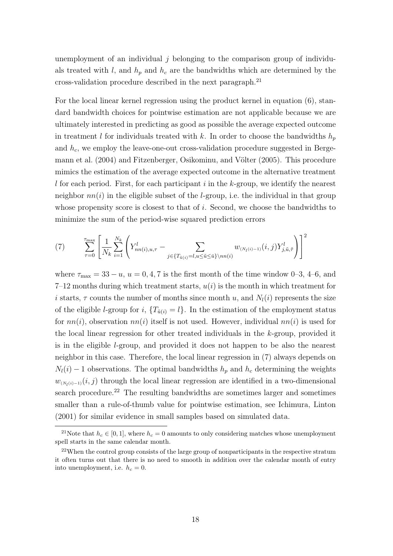unemployment of an individual  $j$  belonging to the comparison group of individuals treated with l, and  $h_p$  and  $h_c$  are the bandwidths which are determined by the cross-validation procedure described in the next paragraph.<sup>21</sup>

For the local linear kernel regression using the product kernel in equation (6), standard bandwidth choices for pointwise estimation are not applicable because we are ultimately interested in predicting as good as possible the average expected outcome in treatment l for individuals treated with k. In order to choose the bandwidths  $h_p$ and  $h_c$ , we employ the leave-one-out cross-validation procedure suggested in Bergemann et al. (2004) and Fitzenberger, Osikominu, and Völter (2005). This procedure mimics the estimation of the average expected outcome in the alternative treatment  $l$  for each period. First, for each participant  $i$  in the  $k$ -group, we identify the nearest neighbor  $nn(i)$  in the eligible subset of the *l*-group, i.e. the individual in that group whose propensity score is closest to that of  $i$ . Second, we choose the bandwidths to minimize the sum of the period-wise squared prediction errors

(7) 
$$
\sum_{\tau=0}^{\tau_{\max}} \left[ \frac{1}{N_k} \sum_{i=1}^{N_k} \left( Y_{nn(i),u,\tau}^l - \sum_{j \in \{T_{\tilde{u}(i)} = l, u \leq \tilde{u} \leq \tilde{u}\} \setminus nn(i)} w_{(N_l(i)-1)}(i,j) Y_{j,\tilde{u},\tilde{\tau}}^l \right) \right]^2
$$

where  $\tau_{\text{max}} = 33 - u$ ,  $u = 0, 4, 7$  is the first month of the time window 0–3, 4–6, and  $7-12$  months during which treatment starts,  $u(i)$  is the month in which treatment for i starts,  $\tau$  counts the number of months since month u, and  $N_l(i)$  represents the size of the eligible *l*-group for i,  ${T_{\tilde{u}(i)} = l}$ . In the estimation of the employment status for  $nn(i)$ , observation  $nn(i)$  itself is not used. However, individual  $nn(i)$  is used for the local linear regression for other treated individuals in the  $k$ -group, provided it is in the eligible l-group, and provided it does not happen to be also the nearest neighbor in this case. Therefore, the local linear regression in (7) always depends on  $N_l(i) - 1$  observations. The optimal bandwidths  $h_p$  and  $h_c$  determining the weights  $w_{(N_l(i)-1)}(i, j)$  through the local linear regression are identified in a two-dimensional search procedure.<sup>22</sup> The resulting bandwidths are sometimes larger and sometimes smaller than a rule-of-thumb value for pointwise estimation, see Ichimura, Linton (2001) for similar evidence in small samples based on simulated data.

<sup>&</sup>lt;sup>21</sup>Note that  $h_c \in [0, 1]$ , where  $h_c = 0$  amounts to only considering matches whose unemployment spell starts in the same calendar month.

 $22$ When the control group consists of the large group of nonparticipants in the respective stratum it often turns out that there is no need to smooth in addition over the calendar month of entry into unemployment, i.e.  $h_c = 0$ .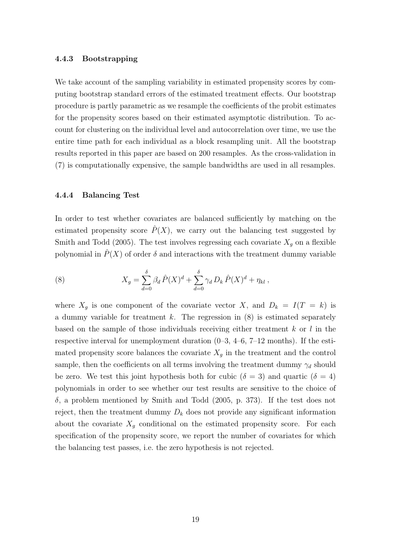#### 4.4.3 Bootstrapping

We take account of the sampling variability in estimated propensity scores by computing bootstrap standard errors of the estimated treatment effects. Our bootstrap procedure is partly parametric as we resample the coefficients of the probit estimates for the propensity scores based on their estimated asymptotic distribution. To account for clustering on the individual level and autocorrelation over time, we use the entire time path for each individual as a block resampling unit. All the bootstrap results reported in this paper are based on 200 resamples. As the cross-validation in (7) is computationally expensive, the sample bandwidths are used in all resamples.

#### 4.4.4 Balancing Test

In order to test whether covariates are balanced sufficiently by matching on the estimated propensity score  $\hat{P}(X)$ , we carry out the balancing test suggested by Smith and Todd (2005). The test involves regressing each covariate  $X_q$  on a flexible polynomial in  $\hat{P}(X)$  of order  $\delta$  and interactions with the treatment dummy variable

(8) 
$$
X_g = \sum_{d=0}^{\delta} \beta_d \,\hat{P}(X)^d + \sum_{d=0}^{\delta} \gamma_d \, D_k \,\hat{P}(X)^d + \eta_{kl} \,,
$$

where  $X_g$  is one component of the covariate vector X, and  $D_k = I(T = k)$  is a dummy variable for treatment  $k$ . The regression in  $(8)$  is estimated separately based on the sample of those individuals receiving either treatment  $k$  or  $l$  in the respective interval for unemployment duration  $(0-3, 4-6, 7-12 \text{ months})$ . If the estimated propensity score balances the covariate  $X_g$  in the treatment and the control sample, then the coefficients on all terms involving the treatment dummy  $\gamma_d$  should be zero. We test this joint hypothesis both for cubic ( $\delta = 3$ ) and quartic ( $\delta = 4$ ) polynomials in order to see whether our test results are sensitive to the choice of  $\delta$ , a problem mentioned by Smith and Todd (2005, p. 373). If the test does not reject, then the treatment dummy  $D_k$  does not provide any significant information about the covariate  $X_g$  conditional on the estimated propensity score. For each specification of the propensity score, we report the number of covariates for which the balancing test passes, i.e. the zero hypothesis is not rejected.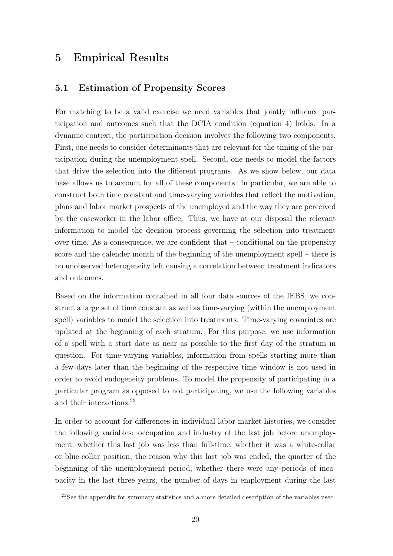# 5 Empirical Results

### 5.1 Estimation of Propensity Scores

For matching to be a valid exercise we need variables that jointly influence participation and outcomes such that the DCIA condition (equation 4) holds. In a dynamic context, the participation decision involves the following two components. First, one needs to consider determinants that are relevant for the timing of the participation during the unemployment spell. Second, one needs to model the factors that drive the selection into the different programs. As we show below, our data base allows us to account for all of these components. In particular, we are able to construct both time constant and time-varying variables that reflect the motivation, plans and labor market prospects of the unemployed and the way they are perceived by the caseworker in the labor office. Thus, we have at our disposal the relevant information to model the decision process governing the selection into treatment over time. As a consequence, we are confident that – conditional on the propensity score and the calender month of the beginning of the unemployment spell – there is no unobserved heterogeneity left causing a correlation between treatment indicators and outcomes.

Based on the information contained in all four data sources of the IEBS, we construct a large set of time constant as well as time-varying (within the unemployment spell) variables to model the selection into treatments. Time-varying covariates are updated at the beginning of each stratum. For this purpose, we use information of a spell with a start date as near as possible to the first day of the stratum in question. For time-varying variables, information from spells starting more than a few days later than the beginning of the respective time window is not used in order to avoid endogeneity problems. To model the propensity of participating in a particular program as opposed to not participating, we use the following variables and their interactions.<sup>23</sup>

In order to account for differences in individual labor market histories, we consider the following variables: occupation and industry of the last job before unemployment, whether this last job was less than full-time, whether it was a white-collar or blue-collar position, the reason why this last job was ended, the quarter of the beginning of the unemployment period, whether there were any periods of incapacity in the last three years, the number of days in employment during the last

<sup>&</sup>lt;sup>23</sup>See the appendix for summary statistics and a more detailed description of the variables used.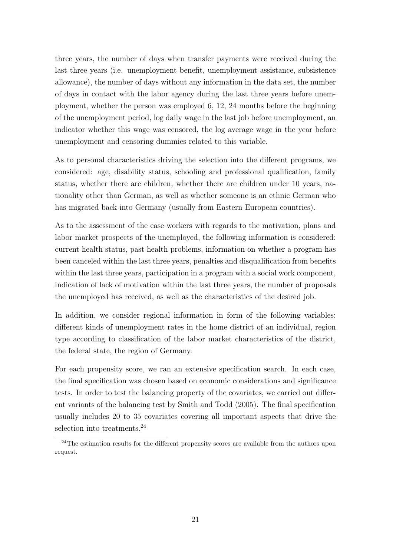three years, the number of days when transfer payments were received during the last three years (i.e. unemployment benefit, unemployment assistance, subsistence allowance), the number of days without any information in the data set, the number of days in contact with the labor agency during the last three years before unemployment, whether the person was employed 6, 12, 24 months before the beginning of the unemployment period, log daily wage in the last job before unemployment, an indicator whether this wage was censored, the log average wage in the year before unemployment and censoring dummies related to this variable.

As to personal characteristics driving the selection into the different programs, we considered: age, disability status, schooling and professional qualification, family status, whether there are children, whether there are children under 10 years, nationality other than German, as well as whether someone is an ethnic German who has migrated back into Germany (usually from Eastern European countries).

As to the assessment of the case workers with regards to the motivation, plans and labor market prospects of the unemployed, the following information is considered: current health status, past health problems, information on whether a program has been canceled within the last three years, penalties and disqualification from benefits within the last three years, participation in a program with a social work component, indication of lack of motivation within the last three years, the number of proposals the unemployed has received, as well as the characteristics of the desired job.

In addition, we consider regional information in form of the following variables: different kinds of unemployment rates in the home district of an individual, region type according to classification of the labor market characteristics of the district, the federal state, the region of Germany.

For each propensity score, we ran an extensive specification search. In each case, the final specification was chosen based on economic considerations and significance tests. In order to test the balancing property of the covariates, we carried out different variants of the balancing test by Smith and Todd (2005). The final specification usually includes 20 to 35 covariates covering all important aspects that drive the selection into treatments.<sup>24</sup>

<sup>&</sup>lt;sup>24</sup>The estimation results for the different propensity scores are available from the authors upon request.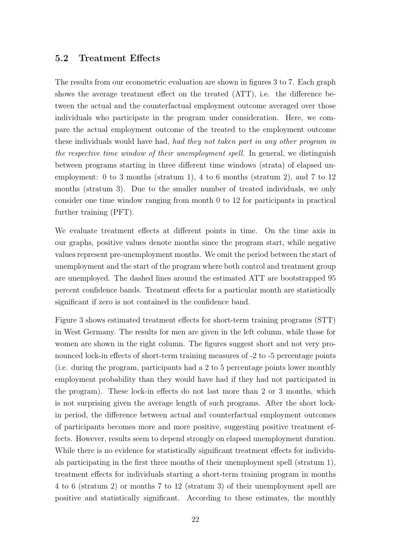### 5.2 Treatment Effects

The results from our econometric evaluation are shown in figures 3 to 7. Each graph shows the average treatment effect on the treated (ATT), i.e. the difference between the actual and the counterfactual employment outcome averaged over those individuals who participate in the program under consideration. Here, we compare the actual employment outcome of the treated to the employment outcome these individuals would have had, had they not taken part in any other program in the respective time window of their unemployment spell. In general, we distinguish between programs starting in three different time windows (strata) of elapsed unemployment: 0 to 3 months (stratum 1), 4 to 6 months (stratum 2), and 7 to 12 months (stratum 3). Due to the smaller number of treated individuals, we only consider one time window ranging from month 0 to 12 for participants in practical further training (PFT).

We evaluate treatment effects at different points in time. On the time axis in our graphs, positive values denote months since the program start, while negative values represent pre-unemployment months. We omit the period between the start of unemployment and the start of the program where both control and treatment group are unemployed. The dashed lines around the estimated ATT are bootstrapped 95 percent confidence bands. Treatment effects for a particular month are statistically significant if zero is not contained in the confidence band.

Figure 3 shows estimated treatment effects for short-term training programs (STT) in West Germany. The results for men are given in the left column, while those for women are shown in the right column. The figures suggest short and not very pronounced lock-in effects of short-term training measures of -2 to -5 percentage points (i.e. during the program, participants had a 2 to 5 percentage points lower monthly employment probability than they would have had if they had not participated in the program). These lock-in effects do not last more than 2 or 3 months, which is not surprising given the average length of such programs. After the short lockin period, the difference between actual and counterfactual employment outcomes of participants becomes more and more positive, suggesting positive treatment effects. However, results seem to depend strongly on elapsed unemployment duration. While there is no evidence for statistically significant treatment effects for individuals participating in the first three months of their unemployment spell (stratum 1), treatment effects for individuals starting a short-term training program in months 4 to 6 (stratum 2) or months 7 to 12 (stratum 3) of their unemployment spell are positive and statistically significant. According to these estimates, the monthly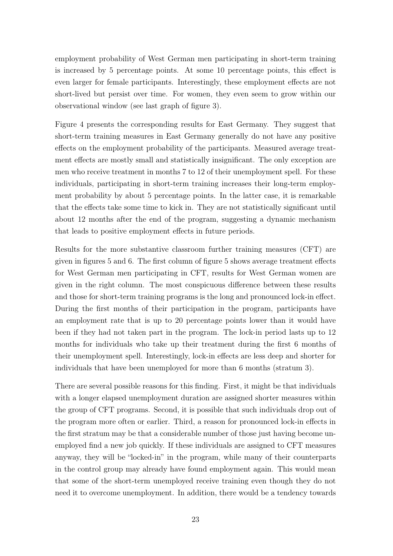employment probability of West German men participating in short-term training is increased by 5 percentage points. At some 10 percentage points, this effect is even larger for female participants. Interestingly, these employment effects are not short-lived but persist over time. For women, they even seem to grow within our observational window (see last graph of figure 3).

Figure 4 presents the corresponding results for East Germany. They suggest that short-term training measures in East Germany generally do not have any positive effects on the employment probability of the participants. Measured average treatment effects are mostly small and statistically insignificant. The only exception are men who receive treatment in months 7 to 12 of their unemployment spell. For these individuals, participating in short-term training increases their long-term employment probability by about 5 percentage points. In the latter case, it is remarkable that the effects take some time to kick in. They are not statistically significant until about 12 months after the end of the program, suggesting a dynamic mechanism that leads to positive employment effects in future periods.

Results for the more substantive classroom further training measures (CFT) are given in figures 5 and 6. The first column of figure 5 shows average treatment effects for West German men participating in CFT, results for West German women are given in the right column. The most conspicuous difference between these results and those for short-term training programs is the long and pronounced lock-in effect. During the first months of their participation in the program, participants have an employment rate that is up to 20 percentage points lower than it would have been if they had not taken part in the program. The lock-in period lasts up to 12 months for individuals who take up their treatment during the first 6 months of their unemployment spell. Interestingly, lock-in effects are less deep and shorter for individuals that have been unemployed for more than 6 months (stratum 3).

There are several possible reasons for this finding. First, it might be that individuals with a longer elapsed unemployment duration are assigned shorter measures within the group of CFT programs. Second, it is possible that such individuals drop out of the program more often or earlier. Third, a reason for pronounced lock-in effects in the first stratum may be that a considerable number of those just having become unemployed find a new job quickly. If these individuals are assigned to CFT measures anyway, they will be "locked-in" in the program, while many of their counterparts in the control group may already have found employment again. This would mean that some of the short-term unemployed receive training even though they do not need it to overcome unemployment. In addition, there would be a tendency towards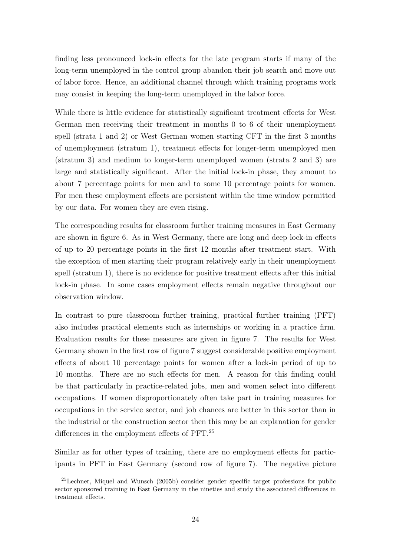finding less pronounced lock-in effects for the late program starts if many of the long-term unemployed in the control group abandon their job search and move out of labor force. Hence, an additional channel through which training programs work may consist in keeping the long-term unemployed in the labor force.

While there is little evidence for statistically significant treatment effects for West German men receiving their treatment in months 0 to 6 of their unemployment spell (strata 1 and 2) or West German women starting CFT in the first 3 months of unemployment (stratum 1), treatment effects for longer-term unemployed men (stratum 3) and medium to longer-term unemployed women (strata 2 and 3) are large and statistically significant. After the initial lock-in phase, they amount to about 7 percentage points for men and to some 10 percentage points for women. For men these employment effects are persistent within the time window permitted by our data. For women they are even rising.

The corresponding results for classroom further training measures in East Germany are shown in figure 6. As in West Germany, there are long and deep lock-in effects of up to 20 percentage points in the first 12 months after treatment start. With the exception of men starting their program relatively early in their unemployment spell (stratum 1), there is no evidence for positive treatment effects after this initial lock-in phase. In some cases employment effects remain negative throughout our observation window.

In contrast to pure classroom further training, practical further training (PFT) also includes practical elements such as internships or working in a practice firm. Evaluation results for these measures are given in figure 7. The results for West Germany shown in the first row of figure 7 suggest considerable positive employment effects of about 10 percentage points for women after a lock-in period of up to 10 months. There are no such effects for men. A reason for this finding could be that particularly in practice-related jobs, men and women select into different occupations. If women disproportionately often take part in training measures for occupations in the service sector, and job chances are better in this sector than in the industrial or the construction sector then this may be an explanation for gender differences in the employment effects of PFT.<sup>25</sup>

Similar as for other types of training, there are no employment effects for participants in PFT in East Germany (second row of figure 7). The negative picture

<sup>25</sup>Lechner, Miquel and Wunsch (2005b) consider gender specific target professions for public sector sponsored training in East Germany in the nineties and study the associated differences in treatment effects.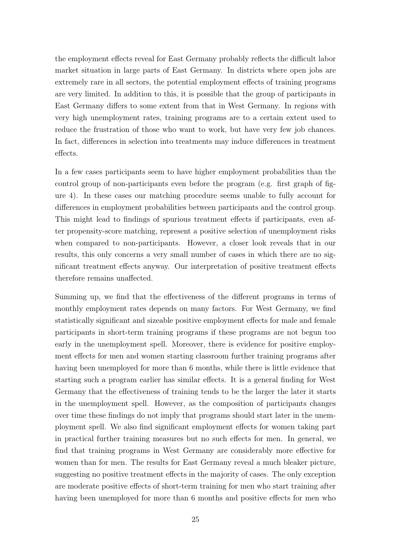the employment effects reveal for East Germany probably reflects the difficult labor market situation in large parts of East Germany. In districts where open jobs are extremely rare in all sectors, the potential employment effects of training programs are very limited. In addition to this, it is possible that the group of participants in East Germany differs to some extent from that in West Germany. In regions with very high unemployment rates, training programs are to a certain extent used to reduce the frustration of those who want to work, but have very few job chances. In fact, differences in selection into treatments may induce differences in treatment effects.

In a few cases participants seem to have higher employment probabilities than the control group of non-participants even before the program (e.g. first graph of figure 4). In these cases our matching procedure seems unable to fully account for differences in employment probabilities between participants and the control group. This might lead to findings of spurious treatment effects if participants, even after propensity-score matching, represent a positive selection of unemployment risks when compared to non-participants. However, a closer look reveals that in our results, this only concerns a very small number of cases in which there are no significant treatment effects anyway. Our interpretation of positive treatment effects therefore remains unaffected.

Summing up, we find that the effectiveness of the different programs in terms of monthly employment rates depends on many factors. For West Germany, we find statistically significant and sizeable positive employment effects for male and female participants in short-term training programs if these programs are not begun too early in the unemployment spell. Moreover, there is evidence for positive employment effects for men and women starting classroom further training programs after having been unemployed for more than 6 months, while there is little evidence that starting such a program earlier has similar effects. It is a general finding for West Germany that the effectiveness of training tends to be the larger the later it starts in the unemployment spell. However, as the composition of participants changes over time these findings do not imply that programs should start later in the unemployment spell. We also find significant employment effects for women taking part in practical further training measures but no such effects for men. In general, we find that training programs in West Germany are considerably more effective for women than for men. The results for East Germany reveal a much bleaker picture, suggesting no positive treatment effects in the majority of cases. The only exception are moderate positive effects of short-term training for men who start training after having been unemployed for more than 6 months and positive effects for men who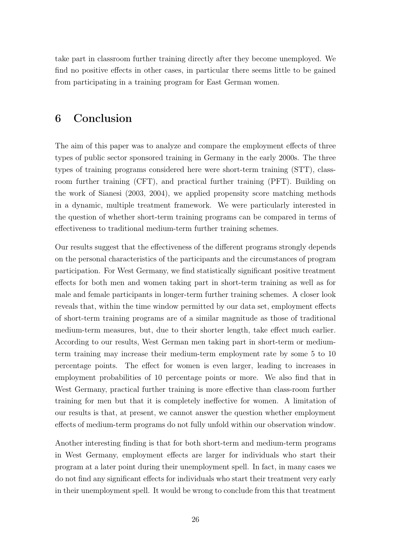take part in classroom further training directly after they become unemployed. We find no positive effects in other cases, in particular there seems little to be gained from participating in a training program for East German women.

# 6 Conclusion

The aim of this paper was to analyze and compare the employment effects of three types of public sector sponsored training in Germany in the early 2000s. The three types of training programs considered here were short-term training (STT), classroom further training (CFT), and practical further training (PFT). Building on the work of Sianesi (2003, 2004), we applied propensity score matching methods in a dynamic, multiple treatment framework. We were particularly interested in the question of whether short-term training programs can be compared in terms of effectiveness to traditional medium-term further training schemes.

Our results suggest that the effectiveness of the different programs strongly depends on the personal characteristics of the participants and the circumstances of program participation. For West Germany, we find statistically significant positive treatment effects for both men and women taking part in short-term training as well as for male and female participants in longer-term further training schemes. A closer look reveals that, within the time window permitted by our data set, employment effects of short-term training programs are of a similar magnitude as those of traditional medium-term measures, but, due to their shorter length, take effect much earlier. According to our results, West German men taking part in short-term or mediumterm training may increase their medium-term employment rate by some 5 to 10 percentage points. The effect for women is even larger, leading to increases in employment probabilities of 10 percentage points or more. We also find that in West Germany, practical further training is more effective than class-room further training for men but that it is completely ineffective for women. A limitation of our results is that, at present, we cannot answer the question whether employment effects of medium-term programs do not fully unfold within our observation window.

Another interesting finding is that for both short-term and medium-term programs in West Germany, employment effects are larger for individuals who start their program at a later point during their unemployment spell. In fact, in many cases we do not find any significant effects for individuals who start their treatment very early in their unemployment spell. It would be wrong to conclude from this that treatment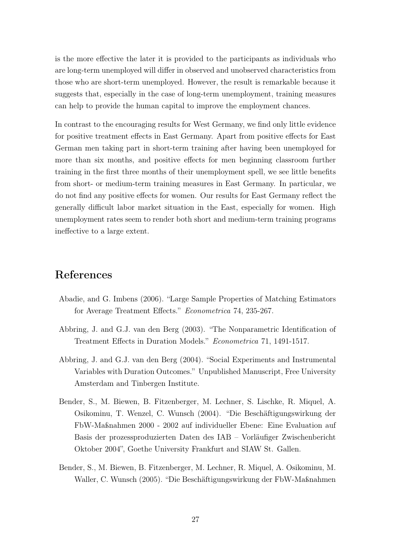is the more effective the later it is provided to the participants as individuals who are long-term unemployed will differ in observed and unobserved characteristics from those who are short-term unemployed. However, the result is remarkable because it suggests that, especially in the case of long-term unemployment, training measures can help to provide the human capital to improve the employment chances.

In contrast to the encouraging results for West Germany, we find only little evidence for positive treatment effects in East Germany. Apart from positive effects for East German men taking part in short-term training after having been unemployed for more than six months, and positive effects for men beginning classroom further training in the first three months of their unemployment spell, we see little benefits from short- or medium-term training measures in East Germany. In particular, we do not find any positive effects for women. Our results for East Germany reflect the generally difficult labor market situation in the East, especially for women. High unemployment rates seem to render both short and medium-term training programs ineffective to a large extent.

# References

- Abadie, and G. Imbens (2006). "Large Sample Properties of Matching Estimators for Average Treatment Effects." Econometrica 74, 235-267.
- Abbring, J. and G.J. van den Berg (2003). "The Nonparametric Identification of Treatment Effects in Duration Models." Econometrica 71, 1491-1517.
- Abbring, J. and G.J. van den Berg (2004). "Social Experiments and Instrumental Variables with Duration Outcomes." Unpublished Manuscript, Free University Amsterdam and Tinbergen Institute.
- Bender, S., M. Biewen, B. Fitzenberger, M. Lechner, S. Lischke, R. Miquel, A. Osikominu, T. Wenzel, C. Wunsch (2004). "Die Beschäftigungswirkung der FbW-Maßnahmen 2000 - 2002 auf individueller Ebene: Eine Evaluation auf Basis der prozessproduzierten Daten des IAB – Vorläufiger Zwischenbericht Oktober 2004", Goethe University Frankfurt and SIAW St. Gallen.
- Bender, S., M. Biewen, B. Fitzenberger, M. Lechner, R. Miquel, A. Osikominu, M. Waller, C. Wunsch (2005). "Die Beschäftigungswirkung der FbW-Maßnahmen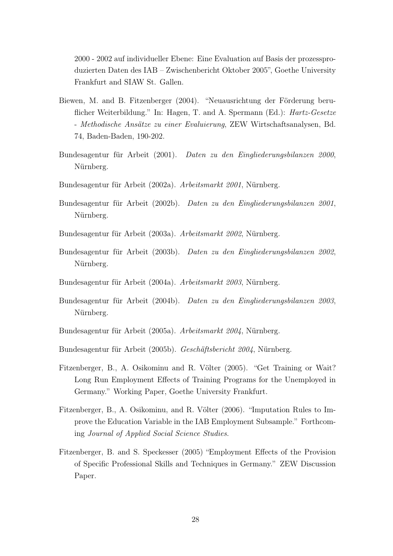2000 - 2002 auf individueller Ebene: Eine Evaluation auf Basis der prozessproduzierten Daten des IAB – Zwischenbericht Oktober 2005", Goethe University Frankfurt and SIAW St. Gallen.

- Biewen, M. and B. Fitzenberger (2004). "Neuausrichtung der Förderung beruflicher Weiterbildung." In: Hagen, T. and A. Spermann (Ed.): Hartz-Gesetze - Methodische Ansätze zu einer Evaluierung, ZEW Wirtschaftsanalysen, Bd. 74, Baden-Baden, 190-202.
- Bundesagentur für Arbeit (2001). Daten zu den Eingliederungsbilanzen 2000, Nürnberg.
- Bundesagentur für Arbeit (2002a). Arbeitsmarkt 2001, Nürnberg.
- Bundesagentur für Arbeit (2002b). Daten zu den Eingliederungsbilanzen 2001, Nürnberg.
- Bundesagentur für Arbeit (2003a). Arbeitsmarkt 2002, Nürnberg.
- Bundesagentur für Arbeit (2003b). Daten zu den Eingliederungsbilanzen 2002, Nürnberg.
- Bundesagentur für Arbeit (2004a). Arbeitsmarkt 2003, Nürnberg.
- Bundesagentur für Arbeit (2004b). Daten zu den Eingliederungsbilanzen 2003, Nürnberg.
- Bundesagentur für Arbeit (2005a). Arbeitsmarkt 2004, Nürnberg.
- Bundesagentur für Arbeit (2005b). Geschäftsbericht 2004, Nürnberg.
- Fitzenberger, B., A. Osikominu and R. Völter (2005). "Get Training or Wait? Long Run Employment Effects of Training Programs for the Unemployed in Germany." Working Paper, Goethe University Frankfurt.
- Fitzenberger, B., A. Osikominu, and R. Völter (2006). "Imputation Rules to Improve the Education Variable in the IAB Employment Subsample." Forthcoming Journal of Applied Social Science Studies.
- Fitzenberger, B. and S. Speckesser (2005) "Employment Effects of the Provision of Specific Professional Skills and Techniques in Germany." ZEW Discussion Paper.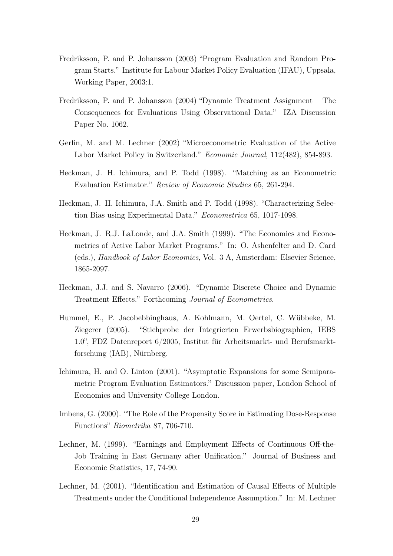- Fredriksson, P. and P. Johansson (2003) "Program Evaluation and Random Program Starts." Institute for Labour Market Policy Evaluation (IFAU), Uppsala, Working Paper, 2003:1.
- Fredriksson, P. and P. Johansson (2004) "Dynamic Treatment Assignment The Consequences for Evaluations Using Observational Data." IZA Discussion Paper No. 1062.
- Gerfin, M. and M. Lechner (2002) "Microeconometric Evaluation of the Active Labor Market Policy in Switzerland." Economic Journal, 112(482), 854-893.
- Heckman, J. H. Ichimura, and P. Todd (1998). "Matching as an Econometric Evaluation Estimator." Review of Economic Studies 65, 261-294.
- Heckman, J. H. Ichimura, J.A. Smith and P. Todd (1998). "Characterizing Selection Bias using Experimental Data." Econometrica 65, 1017-1098.
- Heckman, J. R.J. LaLonde, and J.A. Smith (1999). "The Economics and Econometrics of Active Labor Market Programs." In: O. Ashenfelter and D. Card (eds.), Handbook of Labor Economics, Vol. 3 A, Amsterdam: Elsevier Science, 1865-2097.
- Heckman, J.J. and S. Navarro (2006). "Dynamic Discrete Choice and Dynamic Treatment Effects." Forthcoming Journal of Econometrics.
- Hummel, E., P. Jacobebbinghaus, A. Kohlmann, M. Oertel, C. Wübbeke, M. Ziegerer (2005). "Stichprobe der Integrierten Erwerbsbiographien, IEBS 1.0", FDZ Datenreport 6/2005, Institut für Arbeitsmarkt- und Berufsmarktforschung (IAB), Nürnberg.
- Ichimura, H. and O. Linton (2001). "Asymptotic Expansions for some Semiparametric Program Evaluation Estimators." Discussion paper, London School of Economics and University College London.
- Imbens, G. (2000). "The Role of the Propensity Score in Estimating Dose-Response Functions" Biometrika 87, 706-710.
- Lechner, M. (1999). "Earnings and Employment Effects of Continuous Off-the-Job Training in East Germany after Unification." Journal of Business and Economic Statistics, 17, 74-90.
- Lechner, M. (2001). "Identification and Estimation of Causal Effects of Multiple Treatments under the Conditional Independence Assumption." In: M. Lechner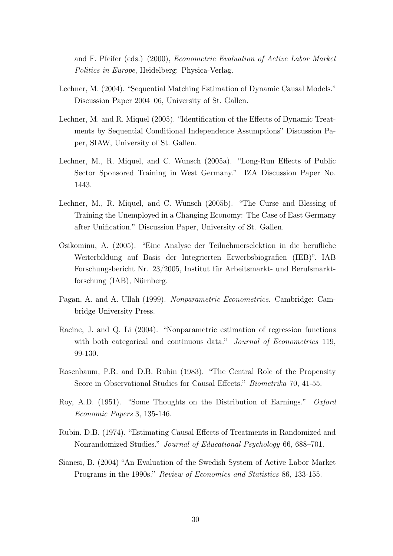and F. Pfeifer (eds.) (2000), Econometric Evaluation of Active Labor Market Politics in Europe, Heidelberg: Physica-Verlag.

- Lechner, M. (2004). "Sequential Matching Estimation of Dynamic Causal Models." Discussion Paper 2004–06, University of St. Gallen.
- Lechner, M. and R. Miquel (2005). "Identification of the Effects of Dynamic Treatments by Sequential Conditional Independence Assumptions" Discussion Paper, SIAW, University of St. Gallen.
- Lechner, M., R. Miquel, and C. Wunsch (2005a). "Long-Run Effects of Public Sector Sponsored Training in West Germany." IZA Discussion Paper No. 1443.
- Lechner, M., R. Miquel, and C. Wunsch (2005b). "The Curse and Blessing of Training the Unemployed in a Changing Economy: The Case of East Germany after Unification." Discussion Paper, University of St. Gallen.
- Osikominu, A. (2005). "Eine Analyse der Teilnehmerselektion in die berufliche Weiterbildung auf Basis der Integrierten Erwerbsbiografien (IEB)". IAB Forschungsbericht Nr. 23/2005, Institut für Arbeitsmarkt- und Berufsmarktforschung (IAB), Nürnberg.
- Pagan, A. and A. Ullah (1999). Nonparametric Econometrics. Cambridge: Cambridge University Press.
- Racine, J. and Q. Li (2004). "Nonparametric estimation of regression functions with both categorical and continuous data." Journal of Econometrics 119, 99-130.
- Rosenbaum, P.R. and D.B. Rubin (1983). "The Central Role of the Propensity Score in Observational Studies for Causal Effects." Biometrika 70, 41-55.
- Roy, A.D. (1951). "Some Thoughts on the Distribution of Earnings." Oxford Economic Papers 3, 135-146.
- Rubin, D.B. (1974). "Estimating Causal Effects of Treatments in Randomized and Nonrandomized Studies." Journal of Educational Psychology 66, 688–701.
- Sianesi, B. (2004) "An Evaluation of the Swedish System of Active Labor Market Programs in the 1990s." Review of Economics and Statistics 86, 133-155.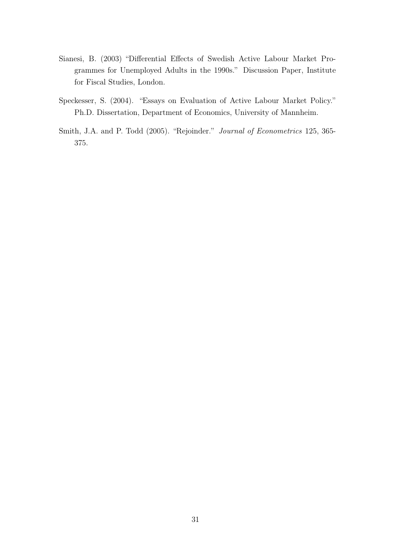- Sianesi, B. (2003) "Differential Effects of Swedish Active Labour Market Programmes for Unemployed Adults in the 1990s." Discussion Paper, Institute for Fiscal Studies, London.
- Speckesser, S. (2004). "Essays on Evaluation of Active Labour Market Policy." Ph.D. Dissertation, Department of Economics, University of Mannheim.
- Smith, J.A. and P. Todd (2005). "Rejoinder." Journal of Econometrics 125, 365- 375.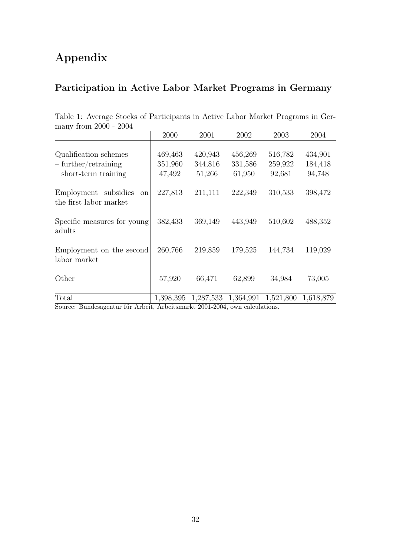# Appendix

# Participation in Active Labor Market Programs in Germany

| $\mu$ many from $2000 - 2004$                                              |                              |                              |                              |                              |                              |
|----------------------------------------------------------------------------|------------------------------|------------------------------|------------------------------|------------------------------|------------------------------|
|                                                                            | 2000                         | 2001                         | 2002                         | 2003                         | 2004                         |
| Qualification schemes<br>$-$ further/retraining<br>$-$ short-term training | 469,463<br>351,960<br>47,492 | 420,943<br>344,816<br>51,266 | 456,269<br>331,586<br>61,950 | 516,782<br>259,922<br>92,681 | 434,901<br>184,418<br>94,748 |
| Employment subsidies<br>on<br>the first labor market                       | 227,813                      | 211,111                      | 222,349                      | 310,533                      | 398,472                      |
| Specific measures for young<br>adults                                      | 382,433                      | 369,149                      | 443,949                      | 510,602                      | 488,352                      |
| Employment on the second<br>labor market                                   | 260,766                      | 219,859                      | 179,525                      | 144,734                      | 119,029                      |
| Other                                                                      | 57,920                       | 66,471                       | 62,899                       | 34,984                       | 73,005                       |
| Total                                                                      | 1,398,395                    | 1,287,533                    | 1,364,991                    | 1,521,800                    | 1,618,879                    |

Table 1: Average Stocks of Participants in Active Labor Market Programs in Ger $from 2000 2004$ 

Source: Bundesagentur für Arbeit, Arbeitsmarkt 2001-2004, own calculations.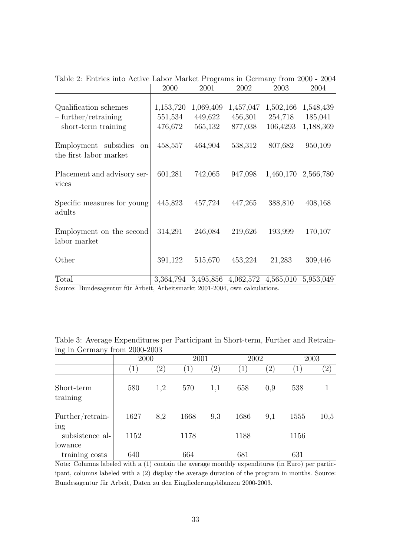|                                                                                                         | 2000                 | 2001                 | 2002                 | 2003                 | 2004                 |
|---------------------------------------------------------------------------------------------------------|----------------------|----------------------|----------------------|----------------------|----------------------|
| Qualification schemes<br>$-$ further/retraining                                                         | 1,153,720<br>551,534 | 1,069,409<br>449,622 | 1,457,047<br>456,301 | 1,502,166<br>254,718 | 1,548,439<br>185,041 |
| $-$ short-term training<br>Employment subsidies<br><sub>on</sub><br>the first labor market              | 476,672<br>458,557   | 565,132<br>464,904   | 877,038<br>538,312   | 106,4293<br>807,682  | 1,188,369<br>950,109 |
| Placement and advisory ser-<br>vices                                                                    | 601,281              | 742,065              | 947,098              |                      | 1,460,170 2,566,780  |
| Specific measures for young<br>adults                                                                   | 445,823              | 457,724              | 447,265              | 388,810              | 408,168              |
| Employment on the second<br>labor market                                                                | 314,291              | 246,084              | 219,626              | 193,999              | 170,107              |
| Other                                                                                                   | 391,122              | 515,670              | 453,224              | 21,283               | 309,446              |
| Total<br>$\overline{S_{\text{OUP2C}}}$ Bundesscoptur für Arbeit Arbeitsmarkt 2001–2004 gun geleulations |                      | 3,364,794 3,495,856  | 4,062,572 4,565,010  |                      | 5,953,049            |

Table 2: Entries into Active Labor Market Programs in Germany from 2000 - 2004

Source: Bundesagentur für Arbeit, Arbeitsmarkt 2001-2004, own calculations.

|  |  |                               |  | Table 3: Average Expenditures per Participant in Short-term, Further and Retrain- |  |  |
|--|--|-------------------------------|--|-----------------------------------------------------------------------------------|--|--|
|  |  | ing in Germany from 2000-2003 |  |                                                                                   |  |  |

|                              | 2000             |                   | 2001 |                   | 2002 |               |      | 2003          |
|------------------------------|------------------|-------------------|------|-------------------|------|---------------|------|---------------|
|                              | $\left(1\right)$ | $\left( 2\right)$ |      | $\left( 2\right)$ |      | $^{\prime}2)$ |      | $^{\prime}2)$ |
| Short-term<br>training       | 580              | 1,2               | 570  | 1,1               | 658  | 0,9           | 538  |               |
| Further/retrain-<br>ing      | 1627             | 8,2               | 1668 | 9,3               | 1686 | 9,1           | 1555 | 10,5          |
| - subsistence al-<br>lowance | 1152             |                   | 1178 |                   | 1188 |               | 1156 |               |
| $-$ training costs $\,$      | 640              |                   | 664  |                   | 681  |               | 631  |               |

Note: Columns labeled with a (1) contain the average monthly expenditures (in Euro) per participant, columns labeled with a (2) display the average duration of the program in months. Source: Bundesagentur für Arbeit, Daten zu den Eingliederungsbilanzen 2000-2003.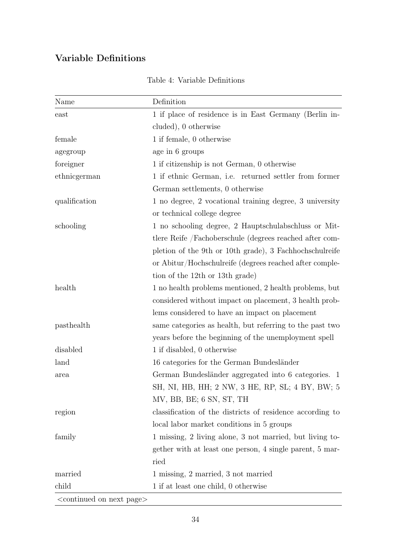# Variable Definitions

| Name                   | Definition                                                |
|------------------------|-----------------------------------------------------------|
| east                   | 1 if place of residence is in East Germany (Berlin in-    |
|                        | cluded), 0 otherwise                                      |
| female                 | 1 if female, 0 otherwise                                  |
| agegroup               | age in 6 groups                                           |
| foreigner              | 1 if citizenship is not German, 0 otherwise               |
| ethnicgerman           | 1 if ethnic German, i.e. returned settler from former     |
|                        | German settlements, 0 otherwise                           |
| qualification          | 1 no degree, 2 vocational training degree, 3 university   |
|                        | or technical college degree                               |
| schooling              | 1 no schooling degree, 2 Hauptschulabschluss or Mit-      |
|                        | tlere Reife /Fachoberschule (degrees reached after com-   |
|                        | pletion of the 9th or 10th grade), 3 Fachhochschulreife   |
|                        | or Abitur/Hochschulreife (degrees reached after comple-   |
|                        | tion of the 12th or 13th grade)                           |
| health                 | 1 no health problems mentioned, 2 health problems, but    |
|                        | considered without impact on placement, 3 health prob-    |
|                        | lems considered to have an impact on placement            |
| pasthealth             | same categories as health, but referring to the past two  |
|                        | years before the beginning of the unemployment spell      |
| disabled               | 1 if disabled, 0 otherwise                                |
| land                   | 16 categories for the German Bundesländer                 |
| area                   | German Bundesländer aggregated into 6 categories. 1       |
|                        | SH, NI, HB, HH; 2 NW, 3 HE, RP, SL; 4 BY, BW; 5           |
|                        | MV, BB, BE; 6 SN, ST, TH                                  |
| region                 | classification of the districts of residence according to |
|                        | local labor market conditions in 5 groups                 |
| family                 | 1 missing, 2 living alone, 3 not married, but living to-  |
|                        | gether with at least one person, 4 single parent, 5 mar-  |
|                        | ried                                                      |
| married                | 1 missing, 2 married, 3 not married                       |
| child                  | 1 if at least one child, 0 otherwise                      |
| continued on nort page |                                                           |

<continued on next page>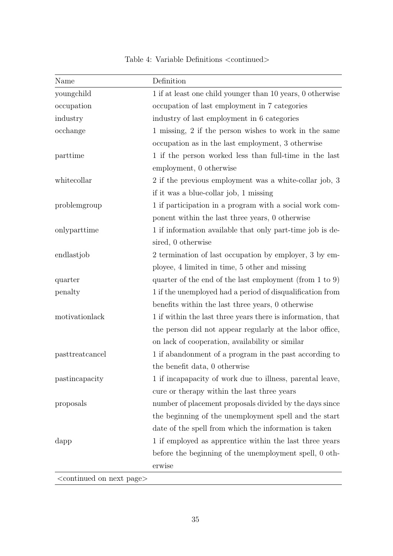| Name                                          | Definition                                                          |
|-----------------------------------------------|---------------------------------------------------------------------|
| youngchild                                    | 1 if at least one child younger than 10 years, 0 otherwise          |
| occupation                                    | occupation of last employment in 7 categories                       |
| industry                                      | industry of last employment in 6 categories                         |
| occhange                                      | 1 missing, 2 if the person wishes to work in the same               |
|                                               | occupation as in the last employment, 3 otherwise                   |
| parttime                                      | 1 if the person worked less than full-time in the last              |
|                                               | employment, 0 otherwise                                             |
| whitecollar                                   | 2 if the previous employment was a white-collar job, 3              |
|                                               | if it was a blue-collar job, 1 missing                              |
| problemgroup                                  | 1 if participation in a program with a social work com-             |
|                                               | ponent within the last three years, 0 otherwise                     |
| onlyparttime                                  | 1 if information available that only part-time job is de-           |
|                                               | sired, 0 otherwise                                                  |
| endlastjob                                    | 2 termination of last occupation by employer, 3 by em-              |
|                                               | ployee, 4 limited in time, 5 other and missing                      |
| quarter                                       | quarter of the end of the last employment (from $1 \text{ to } 9$ ) |
| penalty                                       | 1 if the unemployed had a period of disqualification from           |
|                                               | benefits within the last three years, 0 otherwise                   |
| motivationlack                                | 1 if within the last three years there is information, that         |
|                                               | the person did not appear regularly at the labor office,            |
|                                               | on lack of cooperation, availability or similar                     |
| pasttreatcancel                               | 1 if abandonment of a program in the past according to              |
|                                               | the benefit data, 0 otherwise                                       |
| pastincapacity                                | 1 if incapapacity of work due to illness, parental leave,           |
|                                               | cure or therapy within the last three years                         |
| proposals                                     | number of placement proposals divided by the days since             |
|                                               | the beginning of the unemployment spell and the start               |
|                                               | date of the spell from which the information is taken               |
| dapp                                          | 1 if employed as apprentice within the last three years             |
|                                               | before the beginning of the unemployment spell, 0 oth-              |
|                                               | erwise                                                              |
| <continued next="" on="" page=""></continued> |                                                                     |

Table 4: Variable Definitions  $<$  continued $>$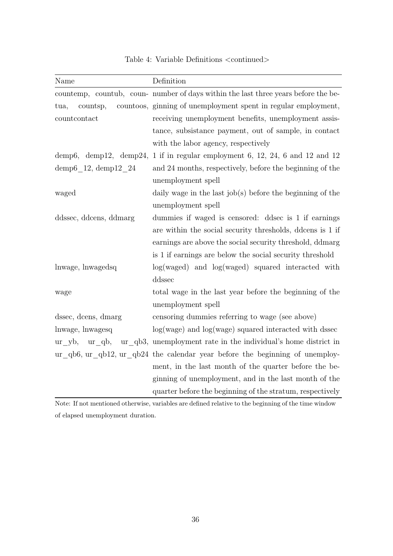| Name                   | Definition                                                                         |
|------------------------|------------------------------------------------------------------------------------|
|                        | countemp, countub, coun- number of days within the last three years before the be- |
| tua,<br>countsp,       | countoos, ginning of unemployment spent in regular employment,                     |
| countcontact           | receiving unemployment benefits, unemployment assis-                               |
|                        | tance, subsistance payment, out of sample, in contact                              |
|                        | with the labor agency, respectively                                                |
| demp6, demp12, demp24, | 1 if in regular employment 6, 12, 24, 6 and 12 and 12                              |
| demp6_12, demp12_24    | and 24 months, respectively, before the beginning of the                           |
|                        | unemployment spell                                                                 |
| waged                  | daily wage in the last $job(s)$ before the beginning of the                        |
|                        | unemployment spell                                                                 |
| ddssec, ddcens, ddmarg | dummies if waged is censored: ddsec is 1 if earnings                               |
|                        | are within the social security thresholds, ddcens is 1 if                          |
|                        | earnings are above the social security threshold, ddmarg                           |
|                        | is 1 if earnings are below the social security threshold                           |
| lnwage, lnwagedsq      | $log(waged)$ and $log(waged)$ squared interacted with                              |
|                        | ddssec                                                                             |
| wage                   | total wage in the last year before the beginning of the                            |
|                        | unemployment spell                                                                 |
| dssec, dcens, dmarg    | censoring dummies referring to wage (see above)                                    |
| lnwage, lnwagesq       | $log(wage)$ and $log(wage)$ squared interacted with dssec                          |
| ur yb,<br>ur qb,       | ur qb3, unemployment rate in the individual's home district in                     |
|                        | ur qb6, ur qb12, ur qb24 the calendar year before the beginning of unemploy-       |
|                        | ment, in the last month of the quarter before the be-                              |
|                        | ginning of unemployment, and in the last month of the                              |
|                        | quarter before the beginning of the stratum, respectively                          |

Table 4: Variable Definitions <continued>

Note: If not mentioned otherwise, variables are defined relative to the beginning of the time window of elapsed unemployment duration.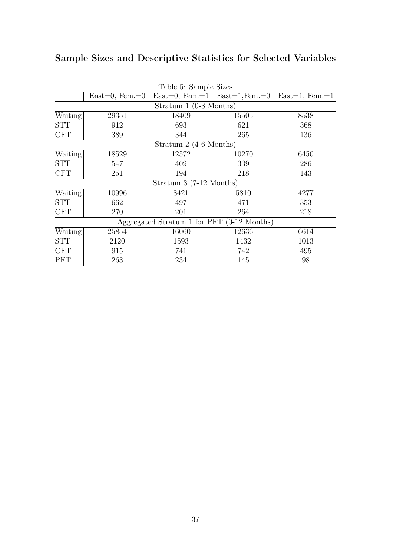|            | Table 5: Sample Sizes  |                                            |       |                                                    |  |  |  |  |  |
|------------|------------------------|--------------------------------------------|-------|----------------------------------------------------|--|--|--|--|--|
|            | $East=0, Fem.=0$       |                                            |       | $East=0, Fem.=1$ $East=1, Fem.=0$ $East=1, Fem.=1$ |  |  |  |  |  |
|            | Stratum 1 (0-3 Months) |                                            |       |                                                    |  |  |  |  |  |
| Waiting    | 29351                  | 18409                                      | 15505 | 8538                                               |  |  |  |  |  |
| <b>STT</b> | 912                    | 693                                        | 621   | 368                                                |  |  |  |  |  |
| <b>CFT</b> | 389                    | 344                                        | 265   | 136                                                |  |  |  |  |  |
|            |                        | Stratum $2(4-6$ Months)                    |       |                                                    |  |  |  |  |  |
| Waiting    | 18529                  | 12572                                      | 10270 | 6450                                               |  |  |  |  |  |
| <b>STT</b> | 547                    | 409                                        | 339   | 286                                                |  |  |  |  |  |
| <b>CFT</b> | 251                    | 194                                        | 218   | 143                                                |  |  |  |  |  |
|            |                        | Stratum $3(7-12 \text{ months})$           |       |                                                    |  |  |  |  |  |
| Waiting    | 10996                  | 8421                                       | 5810  | 4277                                               |  |  |  |  |  |
| STT        | 662                    | 497                                        | 471   | 353                                                |  |  |  |  |  |
| <b>CFT</b> | 270                    | 201                                        | 264   | 218                                                |  |  |  |  |  |
|            |                        | Aggregated Stratum 1 for PFT (0-12 Months) |       |                                                    |  |  |  |  |  |
| Waiting    | 25854                  | 16060                                      | 12636 | 6614                                               |  |  |  |  |  |
| <b>STT</b> | 2120                   | 1593                                       | 1432  | 1013                                               |  |  |  |  |  |
| <b>CFT</b> | 915                    | 741                                        | 742   | 495                                                |  |  |  |  |  |
| <b>PFT</b> | 263                    | 234                                        | 145   | 98                                                 |  |  |  |  |  |

# Sample Sizes and Descriptive Statistics for Selected Variables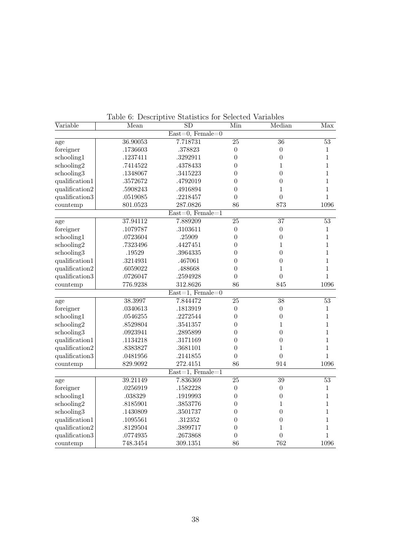| Variable       | Mean     | $\overline{\text{SD}}$                | Min              | Median           | Max             |
|----------------|----------|---------------------------------------|------------------|------------------|-----------------|
|                |          | $\overline{\text{East}=0}$ , Female=0 |                  |                  |                 |
| age            | 36.90053 | 7.718731                              | $\overline{25}$  | $\overline{36}$  | $\overline{53}$ |
| foreigner      | .1736603 | .378823                               | $\boldsymbol{0}$ | $\boldsymbol{0}$ | $\mathbf 1$     |
| schooling1     | .1237411 | .3292911                              | $\overline{0}$   | $\overline{0}$   | $\mathbf 1$     |
| schooling2     | .7414522 | .4378433                              | $\overline{0}$   | 1                | 1               |
| schooling3     | .1348067 | .3415223                              | $\overline{0}$   | $\overline{0}$   | 1               |
| qualification1 | .3572672 | .4792019                              | $\boldsymbol{0}$ | $\boldsymbol{0}$ | $\mathbf 1$     |
| qualification2 | .5908243 | .4916894                              | $\overline{0}$   | $\mathbf 1$      | $\mathbf{1}$    |
| qualification3 | .0519085 | .2218457                              | $\overline{0}$   | $\overline{0}$   | $\mathbf 1$     |
| countemp       | 801.0523 | 287.0826                              | 86               | 873              | 1096            |
|                |          | $East=0, Female=1$                    |                  |                  |                 |
| age            | 37.94112 | 7.889209                              | $\overline{25}$  | 37               | 53              |
| foreigner      | .1079787 | .3103611                              | $\boldsymbol{0}$ | $\boldsymbol{0}$ | $\mathbf{1}$    |
| schooling1     | .0723604 | .25909                                | $\boldsymbol{0}$ | $\boldsymbol{0}$ | $\mathbf{1}$    |
| schooling2     | .7323496 | .4427451                              | $\boldsymbol{0}$ | $\mathbf{1}$     | 1               |
| schooling3     | .19529   | .3964335                              | 0                | $\boldsymbol{0}$ | 1               |
| qualification1 | .3214931 | .467061                               | $\boldsymbol{0}$ | $\boldsymbol{0}$ | $\mathbf 1$     |
| qualification2 | .6059022 | .488668                               | $\boldsymbol{0}$ | 1                | $\mathbf 1$     |
| qualification3 | .0726047 | .2594928                              | $\overline{0}$   | $\overline{0}$   | $\mathbf{1}$    |
| countemp       | 776.9238 | 312.8626                              | 86               | 845              | 1096            |
|                |          | $East=1, Female=0$                    |                  |                  |                 |
| age            | 38.3997  | 7.844472                              | $\overline{25}$  | $\overline{38}$  | $\overline{53}$ |
| foreigner      | .0340613 | .1813919                              | $\boldsymbol{0}$ | $\boldsymbol{0}$ | $\mathbf{1}$    |
| schooling1     | .0546255 | .2272544                              | $\boldsymbol{0}$ | $\boldsymbol{0}$ | $\mathbf{1}$    |
| schooling2     | .8529804 | .3541357                              | $\overline{0}$   | $\mathbf 1$      | 1               |
| schooling3     | .0923941 | .2895899                              | $\overline{0}$   | $\overline{0}$   | $\mathbf 1$     |
| qualification1 | .1134218 | .3171169                              | $\overline{0}$   | $\overline{0}$   | $\mathbf 1$     |
| qualification2 | .8383827 | .3681101                              | $\overline{0}$   | $\mathbf 1$      | 1               |
| qualification3 | .0481956 | .2141855                              | 0                | $\overline{0}$   | $\mathbf 1$     |
| countemp       | 829.9092 | 272.4151                              | 86               | 914              | 1096            |
|                |          | $East=1, Female=1$                    |                  |                  |                 |
| age            | 39.21149 | 7.836369                              | 25               | $\overline{39}$  | 53              |
| foreigner      | .0256919 | .1582228                              | $\boldsymbol{0}$ | $\boldsymbol{0}$ | $\mathbf{1}$    |
| schooling1     | .038329  | .1919993                              | $\boldsymbol{0}$ | $\boldsymbol{0}$ | 1               |
| schooling2     | .8185901 | .3853776                              | $\boldsymbol{0}$ | 1                | $\mathbf 1$     |
| schooling3     | .1430809 | .3501737                              | $\boldsymbol{0}$ | $\overline{0}$   | $\mathbf 1$     |
| qualification1 | .1095561 | .312352                               | $\overline{0}$   | $\boldsymbol{0}$ | 1               |
| qualification2 | .8129504 | .3899717                              | $\overline{0}$   | 1                | 1               |
| qualification3 | .0774935 | .2673868                              | $\boldsymbol{0}$ | $\overline{0}$   | 1               |
| countemp       | 748.3454 | 309.1351                              | 86               | 762              | 1096            |

Table 6: Descriptive Statistics for Selected Variables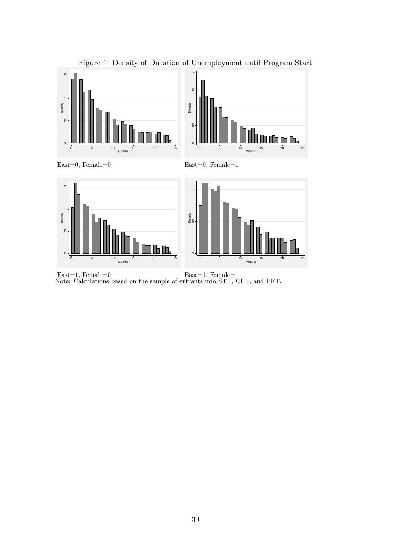

Figure 1: Density of Duration of Unemployment until Program Start

East=1, Female=0 East=1, Female=1 Note: Calculations based on the sample of entrants into STT, CFT, and PFT.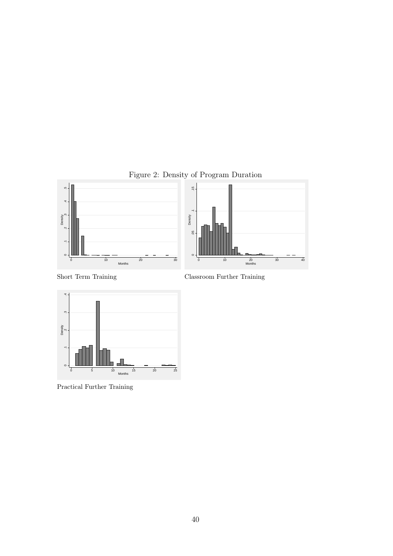

Classroom Further Training



Practical Further Training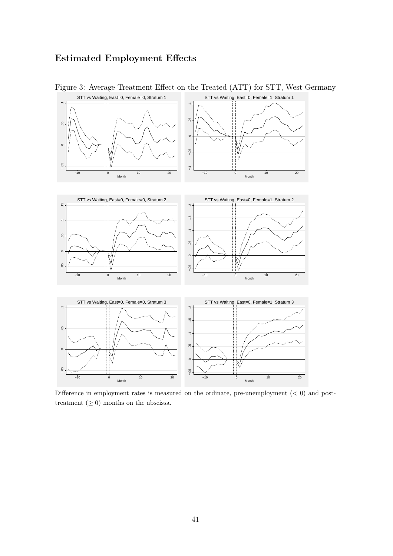## Estimated Employment Effects



Figure 3: Average Treatment Effect on the Treated (ATT) for STT, West Germany

Difference in employment rates is measured on the ordinate, pre-unemployment  $(< 0)$  and posttreatment  $(≥ 0)$  months on the abscissa.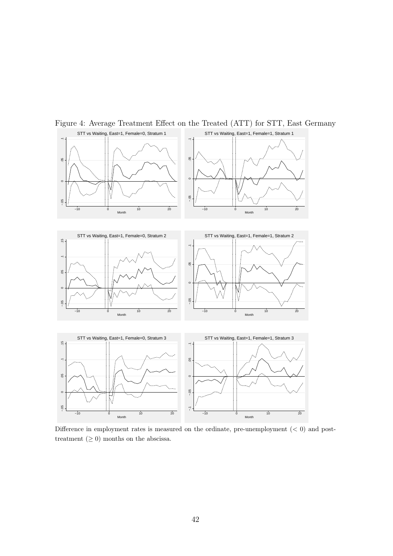

Figure 4: Average Treatment Effect on the Treated (ATT) for STT, East Germany

Difference in employment rates is measured on the ordinate, pre-unemployment  $(< 0)$  and posttreatment  $(≥ 0)$  months on the abscissa.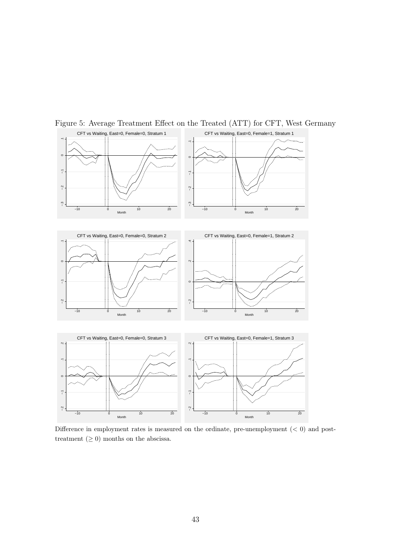

Figure 5: Average Treatment Effect on the Treated (ATT) for CFT, West Germany

Difference in employment rates is measured on the ordinate, pre-unemployment  $(< 0)$  and posttreatment  $(≥ 0)$  months on the abscissa.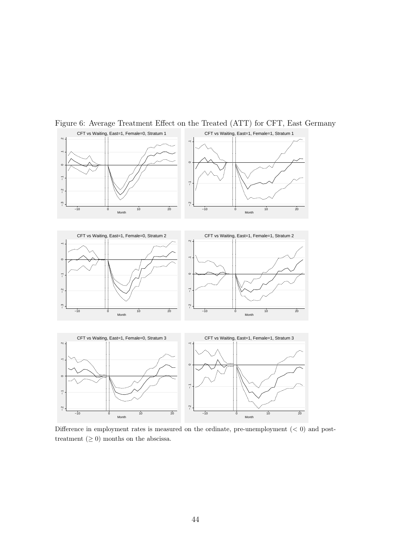

Figure 6: Average Treatment Effect on the Treated (ATT) for CFT, East Germany

Difference in employment rates is measured on the ordinate, pre-unemployment  $(< 0)$  and posttreatment  $(≥ 0)$  months on the abscissa.